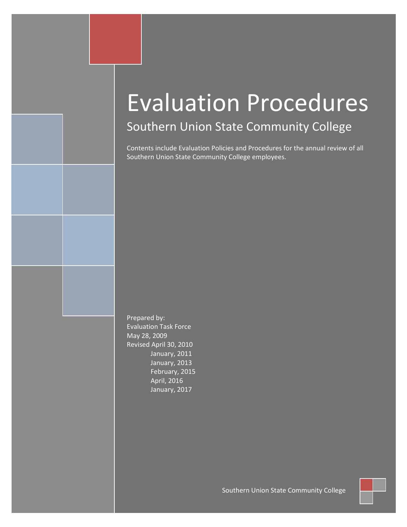## Southern Union State Community College

Contents include Evaluation Policies and Procedures for the annual review of all Southern Union State Community College employees.

Prepared by: Evaluation Task Force May 28, 2009 Revised April 30, 2010 January, 2011 January, 2013 February, 2015 April, 2016 January, 2017

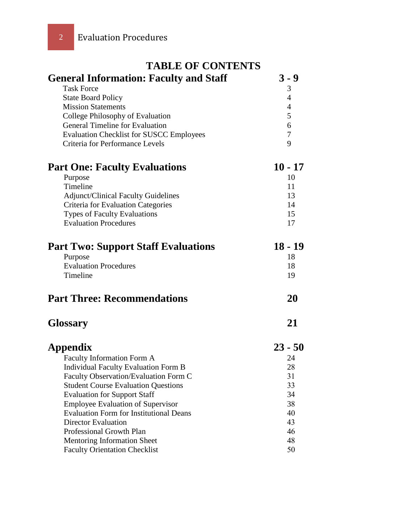| <b>TABLE OF CONTENTS</b>                        |                |  |  |  |  |  |  |  |
|-------------------------------------------------|----------------|--|--|--|--|--|--|--|
| <b>General Information: Faculty and Staff</b>   | $3 - 9$        |  |  |  |  |  |  |  |
| <b>Task Force</b>                               | 3              |  |  |  |  |  |  |  |
| <b>State Board Policy</b>                       | 4              |  |  |  |  |  |  |  |
| <b>Mission Statements</b>                       | $\overline{4}$ |  |  |  |  |  |  |  |
| College Philosophy of Evaluation                | 5              |  |  |  |  |  |  |  |
| <b>General Timeline for Evaluation</b>          | 6              |  |  |  |  |  |  |  |
| <b>Evaluation Checklist for SUSCC Employees</b> | $\tau$         |  |  |  |  |  |  |  |
| Criteria for Performance Levels                 | 9              |  |  |  |  |  |  |  |
| <b>Part One: Faculty Evaluations</b>            | $10 - 17$      |  |  |  |  |  |  |  |
| Purpose                                         | 10             |  |  |  |  |  |  |  |
| Timeline                                        | 11             |  |  |  |  |  |  |  |
| <b>Adjunct/Clinical Faculty Guidelines</b>      | 13             |  |  |  |  |  |  |  |
| Criteria for Evaluation Categories              | 14             |  |  |  |  |  |  |  |
| <b>Types of Faculty Evaluations</b>             | 15             |  |  |  |  |  |  |  |
| <b>Evaluation Procedures</b>                    | 17             |  |  |  |  |  |  |  |
| <b>Part Two: Support Staff Evaluations</b>      | $18 - 19$      |  |  |  |  |  |  |  |
| Purpose                                         | 18             |  |  |  |  |  |  |  |
| <b>Evaluation Procedures</b>                    | 18             |  |  |  |  |  |  |  |
| Timeline                                        | 19             |  |  |  |  |  |  |  |
| <b>Part Three: Recommendations</b>              | 20             |  |  |  |  |  |  |  |
| <b>Glossary</b>                                 | 21             |  |  |  |  |  |  |  |
| Appendix                                        | $23 - 50$      |  |  |  |  |  |  |  |
| Faculty Information Form A                      | 24             |  |  |  |  |  |  |  |
| <b>Individual Faculty Evaluation Form B</b>     | 28             |  |  |  |  |  |  |  |
| Faculty Observation/Evaluation Form C           | 31             |  |  |  |  |  |  |  |
| <b>Student Course Evaluation Questions</b>      | 33             |  |  |  |  |  |  |  |
| <b>Evaluation for Support Staff</b>             | 34             |  |  |  |  |  |  |  |
| <b>Employee Evaluation of Supervisor</b>        | 38             |  |  |  |  |  |  |  |
| <b>Evaluation Form for Institutional Deans</b>  | 40             |  |  |  |  |  |  |  |
| <b>Director Evaluation</b>                      | 43             |  |  |  |  |  |  |  |
| Professional Growth Plan                        | 46             |  |  |  |  |  |  |  |
| <b>Mentoring Information Sheet</b>              | 48             |  |  |  |  |  |  |  |
| <b>Faculty Orientation Checklist</b>            | 50             |  |  |  |  |  |  |  |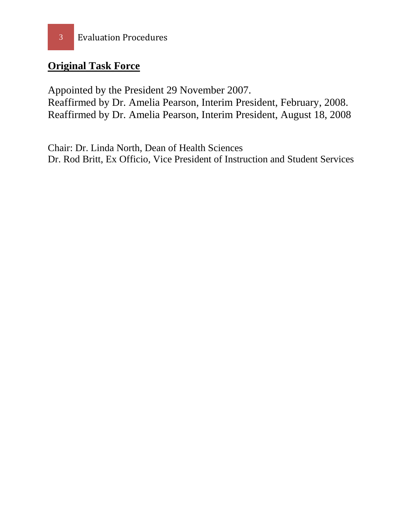### **Original Task Force**

Appointed by the President 29 November 2007. Reaffirmed by Dr. Amelia Pearson, Interim President, February, 2008. Reaffirmed by Dr. Amelia Pearson, Interim President, August 18, 2008

Chair: Dr. Linda North, Dean of Health Sciences Dr. Rod Britt, Ex Officio, Vice President of Instruction and Student Services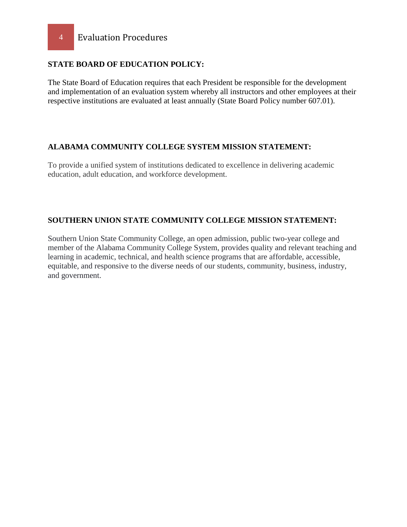#### **STATE BOARD OF EDUCATION POLICY:**

The State Board of Education requires that each President be responsible for the development and implementation of an evaluation system whereby all instructors and other employees at their respective institutions are evaluated at least annually (State Board Policy number 607.01).

#### **ALABAMA COMMUNITY COLLEGE SYSTEM MISSION STATEMENT:**

To provide a unified system of institutions dedicated to excellence in delivering academic education, adult education, and workforce development.

#### **SOUTHERN UNION STATE COMMUNITY COLLEGE MISSION STATEMENT:**

Southern Union State Community College, an open admission, public two-year college and member of the Alabama Community College System, provides quality and relevant teaching and learning in academic, technical, and health science programs that are affordable, accessible, equitable, and responsive to the diverse needs of our students, community, business, industry, and government.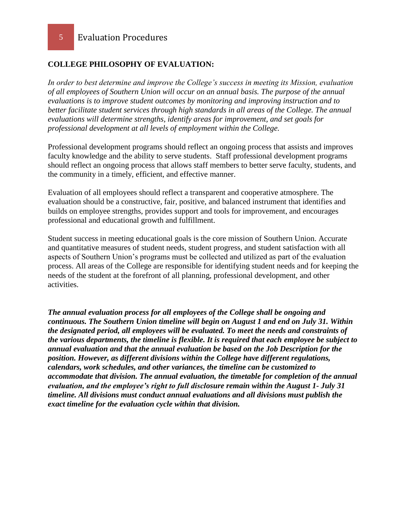5 Evaluation Procedures

#### **COLLEGE PHILOSOPHY OF EVALUATION:**

*In order to best determine and improve the College's success in meeting its Mission, evaluation of all employees of Southern Union will occur on an annual basis. The purpose of the annual evaluations is to improve student outcomes by monitoring and improving instruction and to better facilitate student services through high standards in all areas of the College. The annual evaluations will determine strengths, identify areas for improvement, and set goals for professional development at all levels of employment within the College.* 

Professional development programs should reflect an ongoing process that assists and improves faculty knowledge and the ability to serve students. Staff professional development programs should reflect an ongoing process that allows staff members to better serve faculty, students, and the community in a timely, efficient, and effective manner.

Evaluation of all employees should reflect a transparent and cooperative atmosphere. The evaluation should be a constructive, fair, positive, and balanced instrument that identifies and builds on employee strengths, provides support and tools for improvement, and encourages professional and educational growth and fulfillment.

Student success in meeting educational goals is the core mission of Southern Union. Accurate and quantitative measures of student needs, student progress, and student satisfaction with all aspects of Southern Union's programs must be collected and utilized as part of the evaluation process. All areas of the College are responsible for identifying student needs and for keeping the needs of the student at the forefront of all planning, professional development, and other activities.

*The annual evaluation process for all employees of the College shall be ongoing and continuous. The Southern Union timeline will begin on August 1 and end on July 31. Within the designated period, all employees will be evaluated. To meet the needs and constraints of the various departments, the timeline is flexible. It is required that each employee be subject to annual evaluation and that the annual evaluation be based on the Job Description for the position. However, as different divisions within the College have different regulations, calendars, work schedules, and other variances, the timeline can be customized to accommodate that division. The annual evaluation, the timetable for completion of the annual evaluation, and the employee's right to full disclosure remain within the August 1- July 31 timeline. All divisions must conduct annual evaluations and all divisions must publish the exact timeline for the evaluation cycle within that division.*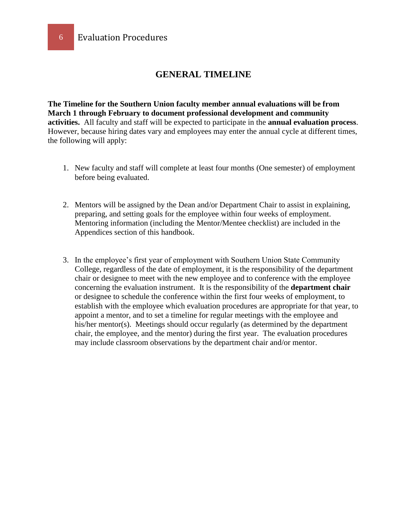#### **GENERAL TIMELINE**

**The Timeline for the Southern Union faculty member annual evaluations will be from March 1 through February to document professional development and community activities.** All faculty and staff will be expected to participate in the **annual evaluation process**. However, because hiring dates vary and employees may enter the annual cycle at different times, the following will apply:

- 1. New faculty and staff will complete at least four months (One semester) of employment before being evaluated.
- 2. Mentors will be assigned by the Dean and/or Department Chair to assist in explaining, preparing, and setting goals for the employee within four weeks of employment. Mentoring information (including the Mentor/Mentee checklist) are included in the Appendices section of this handbook.
- 3. In the employee's first year of employment with Southern Union State Community College, regardless of the date of employment, it is the responsibility of the department chair or designee to meet with the new employee and to conference with the employee concerning the evaluation instrument. It is the responsibility of the **department chair** or designee to schedule the conference within the first four weeks of employment, to establish with the employee which evaluation procedures are appropriate for that year, to appoint a mentor, and to set a timeline for regular meetings with the employee and his/her mentor(s). Meetings should occur regularly (as determined by the department chair, the employee, and the mentor) during the first year. The evaluation procedures may include classroom observations by the department chair and/or mentor.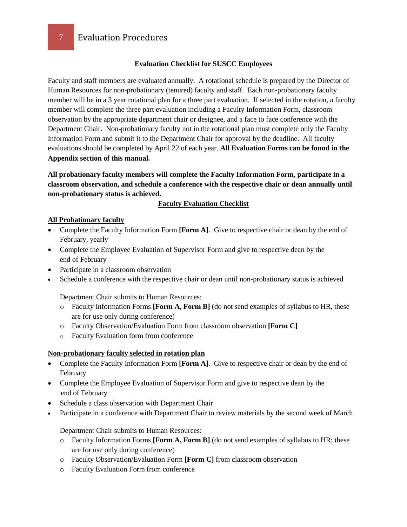#### **Evaluation Checklist for SUSCC Employees**

Faculty and staff members are evaluated annually. A rotational schedule is prepared by the Director of Human Resources for non-probationary (tenured) faculty and staff. Each non-probationary faculty member will be in a 3 year rotational plan for a three part evaluation. If selected in the rotation, a faculty member will complete the three part evaluation including a Faculty Information Form, classroom observation by the appropriate department chair or designee, and a face to face conference with the Department Chair. Non-probationary faculty not in the rotational plan must complete only the Faculty Information Form and submit it to the Department Chair for approval by the deadline. All faculty evaluations should be completed by April 22 of each year. **All Evaluation Forms can be found in the Appendix section of this manual.**

**All probationary faculty members will complete the Faculty Information Form, participate in a classroom observation, and schedule a conference with the respective chair or dean annually until non-probationary status is achieved.**

#### **Faculty Evaluation Checklist**

#### **All Probationary faculty**

- Complete the Faculty Information Form **[Form A]**. Give to respective chair or dean by the end of February, yearly
- Complete the Employee Evaluation of Supervisor Form and give to respective dean by the end of February
- Participate in a classroom observation
- Schedule a conference with the respective chair or dean until non-probationary status is achieved

Department Chair submits to Human Resources:

- o Faculty Information Forms **[Form A, Form B]** (do not send examples of syllabus to HR, these are for use only during conference)
- o Faculty Observation/Evaluation Form from classroom observation **[Form C]**
- o Faculty Evaluation form from conference

#### **Non-probationary faculty selected in rotation plan**

- Complete the Faculty Information Form **[Form A]**. Give to respective chair or dean by the end of February
- Complete the Employee Evaluation of Supervisor Form and give to respective dean by the end of February
- Schedule a class observation with Department Chair
- Participate in a conference with Department Chair to review materials by the second week of March

Department Chair submits to Human Resources:

- o Faculty Information Forms **[Form A, Form B]** (do not send examples of syllabus to HR; these are for use only during conference)
- o Faculty Observation/Evaluation Form **[Form C]** from classroom observation
- o Faculty Evaluation Form from conference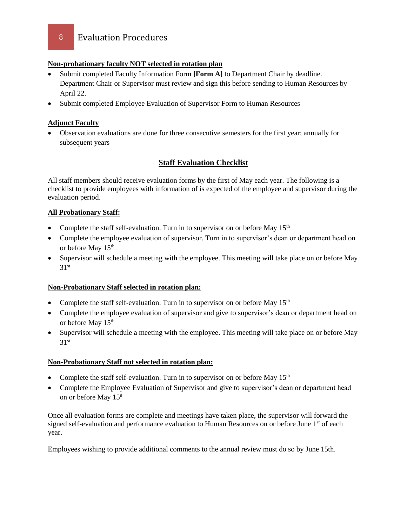#### **Non-probationary faculty NOT selected in rotation plan**

- Submit completed Faculty Information Form **[Form A]** to Department Chair by deadline. Department Chair or Supervisor must review and sign this before sending to Human Resources by April 22.
- Submit completed Employee Evaluation of Supervisor Form to Human Resources

#### **Adjunct Faculty**

 Observation evaluations are done for three consecutive semesters for the first year; annually for subsequent years

#### **Staff Evaluation Checklist**

All staff members should receive evaluation forms by the first of May each year. The following is a checklist to provide employees with information of is expected of the employee and supervisor during the evaluation period.

#### **All Probationary Staff:**

- Complete the staff self-evaluation. Turn in to supervisor on or before May  $15<sup>th</sup>$
- Complete the employee evaluation of supervisor. Turn in to supervisor's dean or department head on or before May 15<sup>th</sup>
- Supervisor will schedule a meeting with the employee. This meeting will take place on or before May  $31<sup>st</sup>$

#### **Non-Probationary Staff selected in rotation plan:**

- Complete the staff self-evaluation. Turn in to supervisor on or before May  $15<sup>th</sup>$
- Complete the employee evaluation of supervisor and give to supervisor's dean or department head on or before May 15<sup>th</sup>
- Supervisor will schedule a meeting with the employee. This meeting will take place on or before May  $31<sup>st</sup>$

#### **Non-Probationary Staff not selected in rotation plan:**

- Complete the staff self-evaluation. Turn in to supervisor on or before May  $15<sup>th</sup>$
- Complete the Employee Evaluation of Supervisor and give to supervisor's dean or department head on or before May 15<sup>th</sup>

Once all evaluation forms are complete and meetings have taken place, the supervisor will forward the signed self-evaluation and performance evaluation to Human Resources on or before June 1<sup>st</sup> of each year.

Employees wishing to provide additional comments to the annual review must do so by June 15th.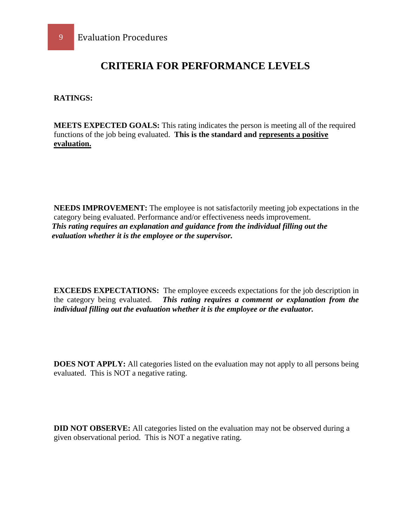### **CRITERIA FOR PERFORMANCE LEVELS**

**RATINGS:**

**MEETS EXPECTED GOALS:** This rating indicates the person is meeting all of the required functions of the job being evaluated. **This is the standard and represents a positive evaluation.**

**NEEDS IMPROVEMENT:** The employee is not satisfactorily meeting job expectations in the category being evaluated. Performance and/or effectiveness needs improvement.  *This rating requires an explanation and guidance from the individual filling out the evaluation whether it is the employee or the supervisor.*

**EXCEEDS EXPECTATIONS:** The employee exceeds expectations for the job description in the category being evaluated. *This rating requires a comment or explanation from the individual filling out the evaluation whether it is the employee or the evaluator.*

**DOES NOT APPLY:** All categories listed on the evaluation may not apply to all persons being evaluated. This is NOT a negative rating.

**DID NOT OBSERVE:** All categories listed on the evaluation may not be observed during a given observational period. This is NOT a negative rating.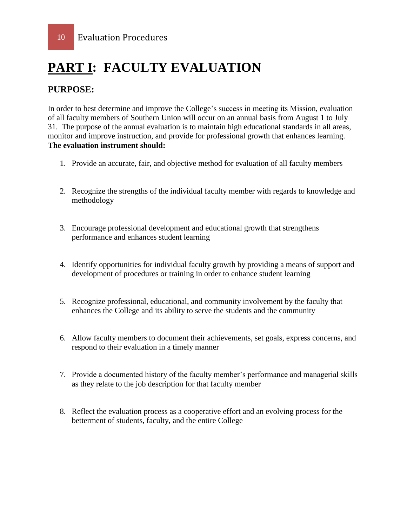## **PART I: FACULTY EVALUATION**

### **PURPOSE:**

In order to best determine and improve the College's success in meeting its Mission, evaluation of all faculty members of Southern Union will occur on an annual basis from August 1 to July 31. The purpose of the annual evaluation is to maintain high educational standards in all areas, monitor and improve instruction, and provide for professional growth that enhances learning. **The evaluation instrument should:** 

- 1. Provide an accurate, fair, and objective method for evaluation of all faculty members
- 2. Recognize the strengths of the individual faculty member with regards to knowledge and methodology
- 3. Encourage professional development and educational growth that strengthens performance and enhances student learning
- 4. Identify opportunities for individual faculty growth by providing a means of support and development of procedures or training in order to enhance student learning
- 5. Recognize professional, educational, and community involvement by the faculty that enhances the College and its ability to serve the students and the community
- 6. Allow faculty members to document their achievements, set goals, express concerns, and respond to their evaluation in a timely manner
- 7. Provide a documented history of the faculty member's performance and managerial skills as they relate to the job description for that faculty member
- 8. Reflect the evaluation process as a cooperative effort and an evolving process for the betterment of students, faculty, and the entire College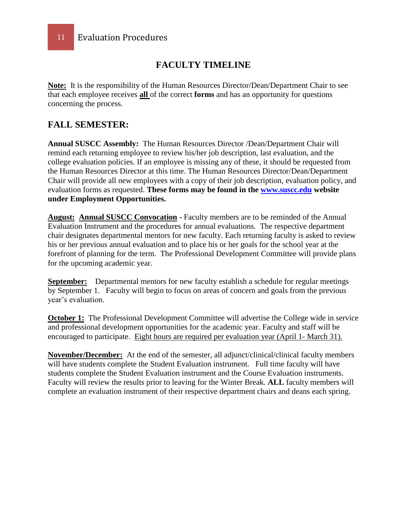### **FACULTY TIMELINE**

**Note:** It is the responsibility of the Human Resources Director/Dean/Department Chair to see that each employee receives **all** of the correct **forms** and has an opportunity for questions concerning the process.

#### **FALL SEMESTER:**

**Annual SUSCC Assembly:** The Human Resources Director /Dean/Department Chair will remind each returning employee to review his/her job description, last evaluation, and the college evaluation policies. If an employee is missing any of these, it should be requested from the Human Resources Director at this time. The Human Resources Director/Dean/Department Chair will provide all new employees with a copy of their job description, evaluation policy, and evaluation forms as requested. **These forms may be found in the [www.suscc.edu](http://www.suscc.edu/) website under Employment Opportunities.**

**August: Annual SUSCC Convocation -** Faculty members are to be reminded of the Annual Evaluation Instrument and the procedures for annual evaluations. The respective department chair designates departmental mentors for new faculty. Each returning faculty is asked to review his or her previous annual evaluation and to place his or her goals for the school year at the forefront of planning for the term. The Professional Development Committee will provide plans for the upcoming academic year.

**September:** Departmental mentors for new faculty establish a schedule for regular meetings by September 1. Faculty will begin to focus on areas of concern and goals from the previous year's evaluation.

**October 1:** The Professional Development Committee will advertise the College wide in service and professional development opportunities for the academic year. Faculty and staff will be encouraged to participate. Eight hours are required per evaluation year (April 1- March 31).

**November/December:** At the end of the semester, all adjunct/clinical/clinical faculty members will have students complete the Student Evaluation instrument. Full time faculty will have students complete the Student Evaluation instrument and the Course Evaluation instruments. Faculty will review the results prior to leaving for the Winter Break. **ALL** faculty members will complete an evaluation instrument of their respective department chairs and deans each spring.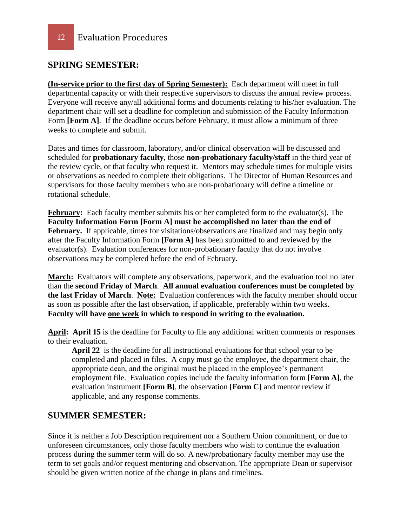#### **SPRING SEMESTER:**

**(In-service prior to the first day of Spring Semester):** Each department will meet in full departmental capacity or with their respective supervisors to discuss the annual review process. Everyone will receive any/all additional forms and documents relating to his/her evaluation. The department chair will set a deadline for completion and submission of the Faculty Information Form **[Form A]**. If the deadline occurs before February, it must allow a minimum of three weeks to complete and submit.

Dates and times for classroom, laboratory, and/or clinical observation will be discussed and scheduled for **probationary faculty**, those **non-probationary faculty/staff** in the third year of the review cycle, or that faculty who request it. Mentors may schedule times for multiple visits or observations as needed to complete their obligations. The Director of Human Resources and supervisors for those faculty members who are non-probationary will define a timeline or rotational schedule.

**February:** Each faculty member submits his or her completed form to the evaluator(s). The **Faculty Information Form [Form A] must be accomplished no later than the end of**  February. If applicable, times for visitations/observations are finalized and may begin only after the Faculty Information Form **[Form A]** has been submitted to and reviewed by the evaluator(s). Evaluation conferences for non-probationary faculty that do not involve observations may be completed before the end of February.

March: Evaluators will complete any observations, paperwork, and the evaluation tool no later than the **second Friday of March**. **All annual evaluation conferences must be completed by the last Friday of March**. **Note:** Evaluation conferences with the faculty member should occur as soon as possible after the last observation, if applicable, preferably within two weeks. **Faculty will have one week in which to respond in writing to the evaluation.** 

**April: April 15** is the deadline for Faculty to file any additional written comments or responses to their evaluation.

**April 22** is the deadline for all instructional evaluations for that school year to be completed and placed in files. A copy must go the employee, the department chair, the appropriate dean, and the original must be placed in the employee's permanent employment file. Evaluation copies include the faculty information form **[Form A]**, the evaluation instrument **[Form B]**, the observation **[Form C]** and mentor review if applicable, and any response comments.

#### **SUMMER SEMESTER:**

Since it is neither a Job Description requirement nor a Southern Union commitment, or due to unforeseen circumstances, only those faculty members who wish to continue the evaluation process during the summer term will do so. A new/probationary faculty member may use the term to set goals and/or request mentoring and observation. The appropriate Dean or supervisor should be given written notice of the change in plans and timelines.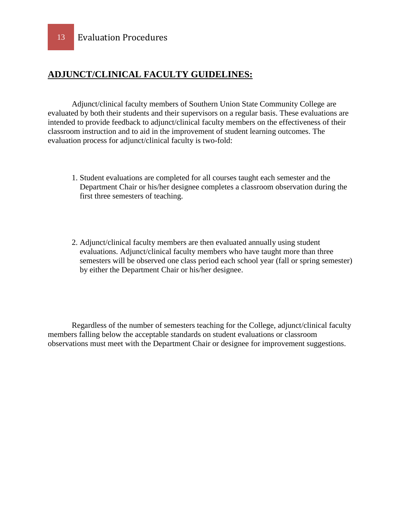### **ADJUNCT/CLINICAL FACULTY GUIDELINES:**

Adjunct/clinical faculty members of Southern Union State Community College are evaluated by both their students and their supervisors on a regular basis. These evaluations are intended to provide feedback to adjunct/clinical faculty members on the effectiveness of their classroom instruction and to aid in the improvement of student learning outcomes. The evaluation process for adjunct/clinical faculty is two-fold:

- 1. Student evaluations are completed for all courses taught each semester and the Department Chair or his/her designee completes a classroom observation during the first three semesters of teaching.
- 2. Adjunct/clinical faculty members are then evaluated annually using student evaluations. Adjunct/clinical faculty members who have taught more than three semesters will be observed one class period each school year (fall or spring semester) by either the Department Chair or his/her designee.

Regardless of the number of semesters teaching for the College, adjunct/clinical faculty members falling below the acceptable standards on student evaluations or classroom observations must meet with the Department Chair or designee for improvement suggestions.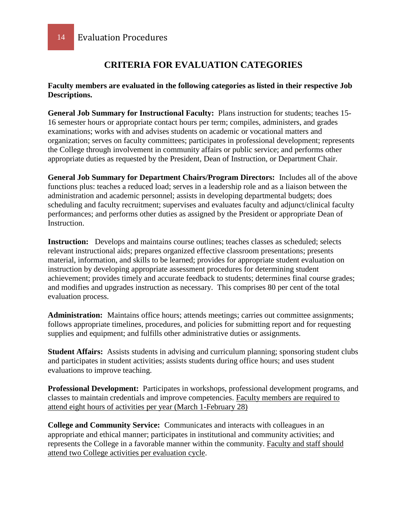### **CRITERIA FOR EVALUATION CATEGORIES**

#### **Faculty members are evaluated in the following categories as listed in their respective Job Descriptions.**

**General Job Summary for Instructional Faculty:** Plans instruction for students; teaches 15- 16 semester hours or appropriate contact hours per term; compiles, administers, and grades examinations; works with and advises students on academic or vocational matters and organization; serves on faculty committees; participates in professional development; represents the College through involvement in community affairs or public service; and performs other appropriate duties as requested by the President, Dean of Instruction, or Department Chair.

**General Job Summary for Department Chairs/Program Directors:** Includes all of the above functions plus: teaches a reduced load; serves in a leadership role and as a liaison between the administration and academic personnel; assists in developing departmental budgets; does scheduling and faculty recruitment; supervises and evaluates faculty and adjunct/clinical faculty performances; and performs other duties as assigned by the President or appropriate Dean of Instruction.

**Instruction:** Develops and maintains course outlines; teaches classes as scheduled; selects relevant instructional aids; prepares organized effective classroom presentations; presents material, information, and skills to be learned; provides for appropriate student evaluation on instruction by developing appropriate assessment procedures for determining student achievement; provides timely and accurate feedback to students; determines final course grades; and modifies and upgrades instruction as necessary. This comprises 80 per cent of the total evaluation process.

Administration: Maintains office hours; attends meetings; carries out committee assignments; follows appropriate timelines, procedures, and policies for submitting report and for requesting supplies and equipment; and fulfills other administrative duties or assignments.

**Student Affairs:** Assists students in advising and curriculum planning; sponsoring student clubs and participates in student activities; assists students during office hours; and uses student evaluations to improve teaching.

**Professional Development:** Participates in workshops, professional development programs, and classes to maintain credentials and improve competencies. Faculty members are required to attend eight hours of activities per year (March 1-February 28)

**College and Community Service:** Communicates and interacts with colleagues in an appropriate and ethical manner; participates in institutional and community activities; and represents the College in a favorable manner within the community. Faculty and staff should attend two College activities per evaluation cycle.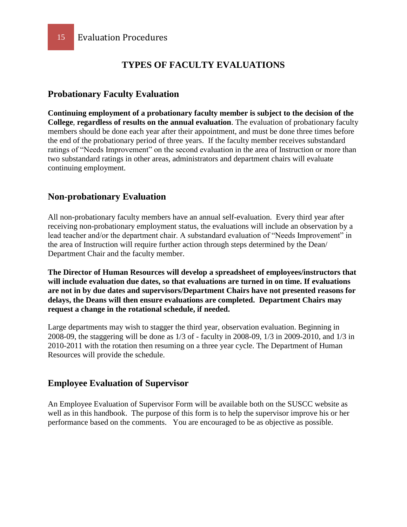#### **TYPES OF FACULTY EVALUATIONS**

#### **Probationary Faculty Evaluation**

**Continuing employment of a probationary faculty member is subject to the decision of the College**, **regardless of results on the annual evaluation**. The evaluation of probationary faculty members should be done each year after their appointment, and must be done three times before the end of the probationary period of three years. If the faculty member receives substandard ratings of "Needs Improvement" on the second evaluation in the area of Instruction or more than two substandard ratings in other areas, administrators and department chairs will evaluate continuing employment.

#### **Non-probationary Evaluation**

All non-probationary faculty members have an annual self-evaluation. Every third year after receiving non-probationary employment status, the evaluations will include an observation by a lead teacher and/or the department chair. A substandard evaluation of "Needs Improvement" in the area of Instruction will require further action through steps determined by the Dean/ Department Chair and the faculty member.

**The Director of Human Resources will develop a spreadsheet of employees/instructors that will include evaluation due dates, so that evaluations are turned in on time. If evaluations are not in by due dates and supervisors/Department Chairs have not presented reasons for delays, the Deans will then ensure evaluations are completed. Department Chairs may request a change in the rotational schedule, if needed.** 

Large departments may wish to stagger the third year, observation evaluation. Beginning in 2008-09, the staggering will be done as 1/3 of - faculty in 2008-09, 1/3 in 2009-2010, and 1/3 in 2010-2011 with the rotation then resuming on a three year cycle. The Department of Human Resources will provide the schedule.

#### **Employee Evaluation of Supervisor**

An Employee Evaluation of Supervisor Form will be available both on the SUSCC website as well as in this handbook. The purpose of this form is to help the supervisor improve his or her performance based on the comments. You are encouraged to be as objective as possible.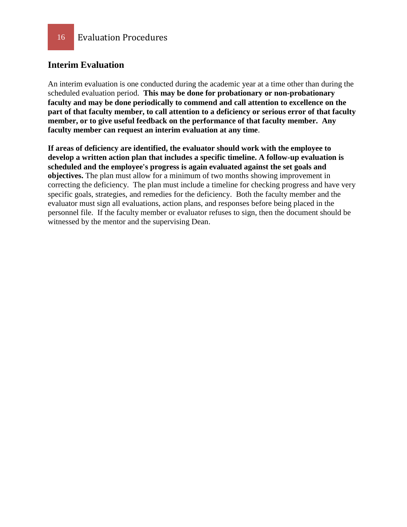#### **Interim Evaluation**

An interim evaluation is one conducted during the academic year at a time other than during the scheduled evaluation period. **This may be done for probationary or non-probationary faculty and may be done periodically to commend and call attention to excellence on the part of that faculty member, to call attention to a deficiency or serious error of that faculty member, or to give useful feedback on the performance of that faculty member. Any faculty member can request an interim evaluation at any time**.

**If areas of deficiency are identified, the evaluator should work with the employee to develop a written action plan that includes a specific timeline. A follow-up evaluation is scheduled and the employee's progress is again evaluated against the set goals and objectives.** The plan must allow for a minimum of two months showing improvement in correcting the deficiency. The plan must include a timeline for checking progress and have very specific goals, strategies, and remedies for the deficiency. Both the faculty member and the evaluator must sign all evaluations, action plans, and responses before being placed in the personnel file. If the faculty member or evaluator refuses to sign, then the document should be witnessed by the mentor and the supervising Dean.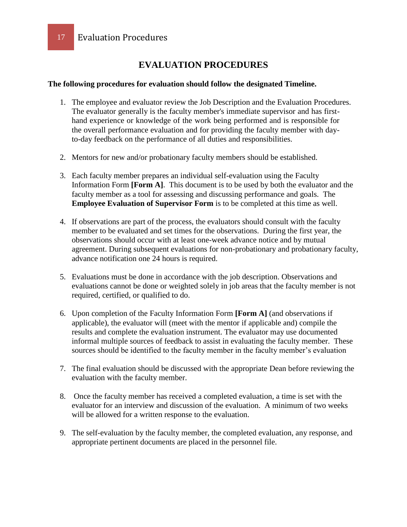### **EVALUATION PROCEDURES**

#### **The following procedures for evaluation should follow the designated Timeline.**

- 1. The employee and evaluator review the Job Description and the Evaluation Procedures. The evaluator generally is the faculty member's immediate supervisor and has firsthand experience or knowledge of the work being performed and is responsible for the overall performance evaluation and for providing the faculty member with dayto-day feedback on the performance of all duties and responsibilities.
- 2. Mentors for new and/or probationary faculty members should be established.
- 3. Each faculty member prepares an individual self-evaluation using the Faculty Information Form **[Form A]**.This document is to be used by both the evaluator and the faculty member as a tool for assessing and discussing performance and goals. The **Employee Evaluation of Supervisor Form** is to be completed at this time as well.
- 4. If observations are part of the process, the evaluators should consult with the faculty member to be evaluated and set times for the observations. During the first year, the observations should occur with at least one-week advance notice and by mutual agreement. During subsequent evaluations for non-probationary and probationary faculty, advance notification one 24 hours is required.
- 5. Evaluations must be done in accordance with the job description. Observations and evaluations cannot be done or weighted solely in job areas that the faculty member is not required, certified, or qualified to do.
- 6. Upon completion of the Faculty Information Form **[Form A]** (and observations if applicable), the evaluator will (meet with the mentor if applicable and) compile the results and complete the evaluation instrument. The evaluator may use documented informal multiple sources of feedback to assist in evaluating the faculty member. These sources should be identified to the faculty member in the faculty member's evaluation
- 7. The final evaluation should be discussed with the appropriate Dean before reviewing the evaluation with the faculty member.
- 8. Once the faculty member has received a completed evaluation, a time is set with the evaluator for an interview and discussion of the evaluation. A minimum of two weeks will be allowed for a written response to the evaluation.
- 9. The self-evaluation by the faculty member, the completed evaluation, any response, and appropriate pertinent documents are placed in the personnel file.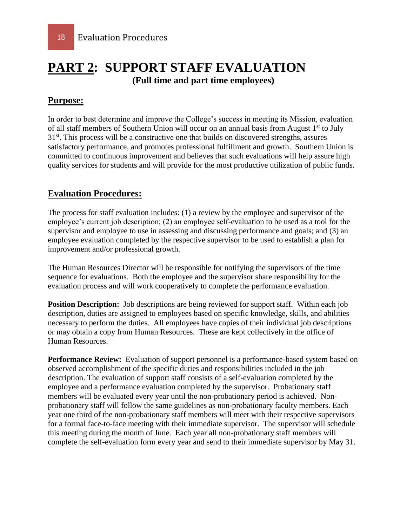### **PART 2: SUPPORT STAFF EVALUATION (Full time and part time employees)**

#### **Purpose:**

In order to best determine and improve the College's success in meeting its Mission, evaluation of all staff members of Southern Union will occur on an annual basis from August 1<sup>st</sup> to July  $31<sup>st</sup>$ . This process will be a constructive one that builds on discovered strengths, assures satisfactory performance, and promotes professional fulfillment and growth. Southern Union is committed to continuous improvement and believes that such evaluations will help assure high quality services for students and will provide for the most productive utilization of public funds.

#### **Evaluation Procedures:**

The process for staff evaluation includes: (1) a review by the employee and supervisor of the employee's current job description; (2) an employee self-evaluation to be used as a tool for the supervisor and employee to use in assessing and discussing performance and goals; and (3) an employee evaluation completed by the respective supervisor to be used to establish a plan for improvement and/or professional growth.

The Human Resources Director will be responsible for notifying the supervisors of the time sequence for evaluations. Both the employee and the supervisor share responsibility for the evaluation process and will work cooperatively to complete the performance evaluation.

**Position Description:** Job descriptions are being reviewed for support staff. Within each job description, duties are assigned to employees based on specific knowledge, skills, and abilities necessary to perform the duties. All employees have copies of their individual job descriptions or may obtain a copy from Human Resources. These are kept collectively in the office of Human Resources.

**Performance Review:** Evaluation of support personnel is a performance-based system based on observed accomplishment of the specific duties and responsibilities included in the job description. The evaluation of support staff consists of a self-evaluation completed by the employee and a performance evaluation completed by the supervisor. Probationary staff members will be evaluated every year until the non-probationary period is achieved. Nonprobationary staff will follow the same guidelines as non-probationary faculty members. Each year one third of the non-probationary staff members will meet with their respective supervisors for a formal face-to-face meeting with their immediate supervisor. The supervisor will schedule this meeting during the month of June. Each year all non-probationary staff members will complete the self-evaluation form every year and send to their immediate supervisor by May 31.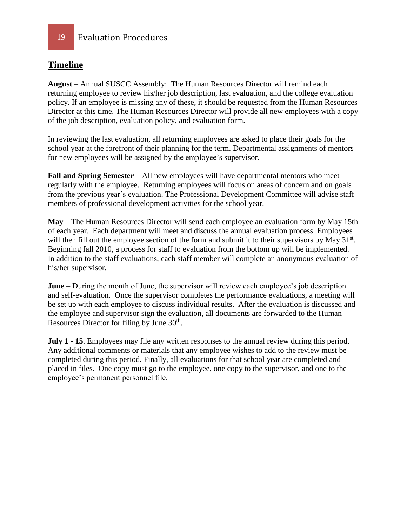#### **Timeline**

**August** – Annual SUSCC Assembly: The Human Resources Director will remind each returning employee to review his/her job description, last evaluation, and the college evaluation policy. If an employee is missing any of these, it should be requested from the Human Resources Director at this time. The Human Resources Director will provide all new employees with a copy of the job description, evaluation policy, and evaluation form.

In reviewing the last evaluation, all returning employees are asked to place their goals for the school year at the forefront of their planning for the term. Departmental assignments of mentors for new employees will be assigned by the employee's supervisor.

**Fall and Spring Semester** – All new employees will have departmental mentors who meet regularly with the employee. Returning employees will focus on areas of concern and on goals from the previous year's evaluation. The Professional Development Committee will advise staff members of professional development activities for the school year.

**May** – The Human Resources Director will send each employee an evaluation form by May 15th of each year. Each department will meet and discuss the annual evaluation process. Employees will then fill out the employee section of the form and submit it to their supervisors by May 31<sup>st</sup>. Beginning fall 2010, a process for staff to evaluation from the bottom up will be implemented. In addition to the staff evaluations, each staff member will complete an anonymous evaluation of his/her supervisor.

**June** – During the month of June, the supervisor will review each employee's job description and self-evaluation. Once the supervisor completes the performance evaluations, a meeting will be set up with each employee to discuss individual results. After the evaluation is discussed and the employee and supervisor sign the evaluation, all documents are forwarded to the Human Resources Director for filing by June 30<sup>th</sup>.

**July 1 - 15**. Employees may file any written responses to the annual review during this period. Any additional comments or materials that any employee wishes to add to the review must be completed during this period. Finally, all evaluations for that school year are completed and placed in files. One copy must go to the employee, one copy to the supervisor, and one to the employee's permanent personnel file.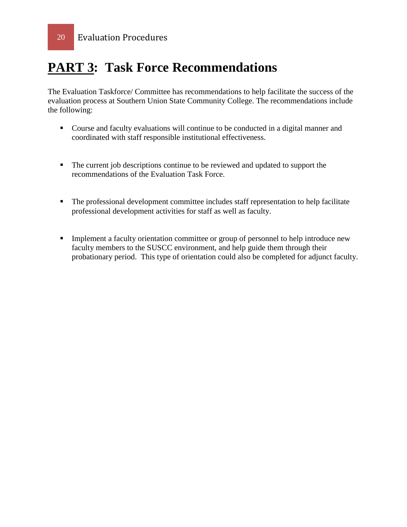## **PART 3: Task Force Recommendations**

The Evaluation Taskforce/ Committee has recommendations to help facilitate the success of the evaluation process at Southern Union State Community College. The recommendations include the following:

- Course and faculty evaluations will continue to be conducted in a digital manner and coordinated with staff responsible institutional effectiveness.
- The current job descriptions continue to be reviewed and updated to support the recommendations of the Evaluation Task Force.
- The professional development committee includes staff representation to help facilitate professional development activities for staff as well as faculty.
- **Implement a faculty orientation committee or group of personnel to help introduce new** faculty members to the SUSCC environment, and help guide them through their probationary period. This type of orientation could also be completed for adjunct faculty.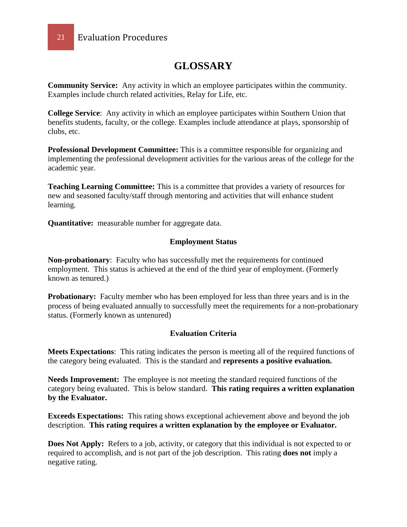

### **GLOSSARY**

**Community Service:** Any activity in which an employee participates within the community. Examples include church related activities, Relay for Life, etc.

**College Service**: Any activity in which an employee participates within Southern Union that benefits students, faculty, or the college. Examples include attendance at plays, sponsorship of clubs, etc.

**Professional Development Committee:** This is a committee responsible for organizing and implementing the professional development activities for the various areas of the college for the academic year.

**Teaching Learning Committee:** This is a committee that provides a variety of resources for new and seasoned faculty/staff through mentoring and activities that will enhance student learning.

**Quantitative:** measurable number for aggregate data.

#### **Employment Status**

**Non-probationary**: Faculty who has successfully met the requirements for continued employment. This status is achieved at the end of the third year of employment. (Formerly known as tenured.)

**Probationary:** Faculty member who has been employed for less than three years and is in the process of being evaluated annually to successfully meet the requirements for a non-probationary status. (Formerly known as untenured)

#### **Evaluation Criteria**

**Meets Expectations**: This rating indicates the person is meeting all of the required functions of the category being evaluated. This is the standard and **represents a positive evaluation.**

**Needs Improvement:** The employee is not meeting the standard required functions of the category being evaluated. This is below standard. **This rating requires a written explanation by the Evaluator.** 

**Exceeds Expectations:** This rating shows exceptional achievement above and beyond the job description. **This rating requires a written explanation by the employee or Evaluator.**

**Does Not Apply:** Refers to a job, activity, or category that this individual is not expected to or required to accomplish, and is not part of the job description. This rating **does not** imply a negative rating.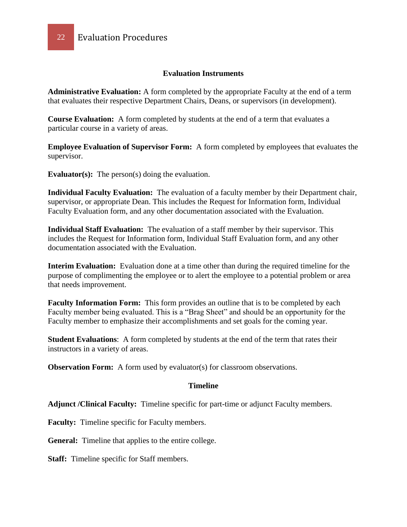#### **Evaluation Instruments**

**Administrative Evaluation:** A form completed by the appropriate Faculty at the end of a term that evaluates their respective Department Chairs, Deans, or supervisors (in development).

**Course Evaluation:** A form completed by students at the end of a term that evaluates a particular course in a variety of areas.

**Employee Evaluation of Supervisor Form:** A form completed by employees that evaluates the supervisor.

**Evaluator(s):** The person(s) doing the evaluation.

**Individual Faculty Evaluation:** The evaluation of a faculty member by their Department chair, supervisor, or appropriate Dean. This includes the Request for Information form, Individual Faculty Evaluation form, and any other documentation associated with the Evaluation.

**Individual Staff Evaluation:** The evaluation of a staff member by their supervisor. This includes the Request for Information form, Individual Staff Evaluation form, and any other documentation associated with the Evaluation.

**Interim Evaluation:** Evaluation done at a time other than during the required timeline for the purpose of complimenting the employee or to alert the employee to a potential problem or area that needs improvement.

**Faculty Information Form:** This form provides an outline that is to be completed by each Faculty member being evaluated. This is a "Brag Sheet" and should be an opportunity for the Faculty member to emphasize their accomplishments and set goals for the coming year.

**Student Evaluations**: A form completed by students at the end of the term that rates their instructors in a variety of areas.

**Observation Form:** A form used by evaluator(s) for classroom observations.

#### **Timeline**

**Adjunct /Clinical Faculty:** Timeline specific for part-time or adjunct Faculty members.

**Faculty:** Timeline specific for Faculty members.

**General:** Timeline that applies to the entire college.

**Staff:** Timeline specific for Staff members.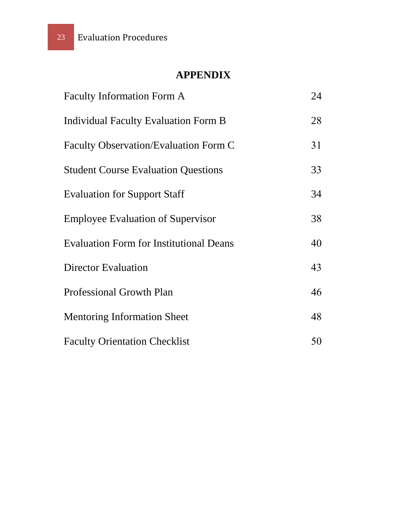### **APPENDIX**

| <b>Faculty Information Form A</b>              | 24 |
|------------------------------------------------|----|
| Individual Faculty Evaluation Form B           | 28 |
| <b>Faculty Observation/Evaluation Form C</b>   | 31 |
| <b>Student Course Evaluation Questions</b>     | 33 |
| <b>Evaluation for Support Staff</b>            | 34 |
| <b>Employee Evaluation of Supervisor</b>       | 38 |
| <b>Evaluation Form for Institutional Deans</b> | 40 |
| <b>Director Evaluation</b>                     | 43 |
| <b>Professional Growth Plan</b>                | 46 |
| <b>Mentoring Information Sheet</b>             | 48 |
| <b>Faculty Orientation Checklist</b>           | 50 |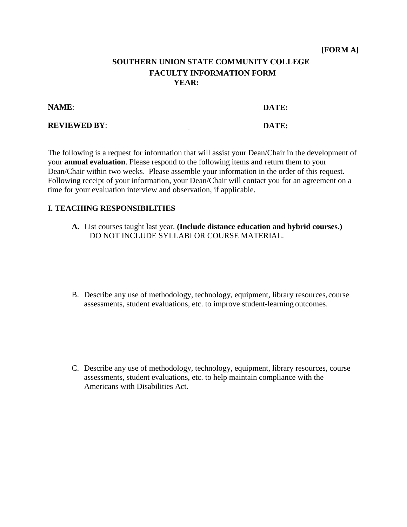#### **SOUTHERN UNION STATE COMMUNITY COLLEGE FACULTY INFORMATION FORM YEAR:**

**NAME**:

**DATE:** 

**REVIEWED BY**:

**DATE:**

The following is a request for information that will assist your Dean/Chair in the development of your **annual evaluation**. Please respond to the following items and return them to your Dean/Chair within two weeks. Please assemble your information in the order of this request. Following receipt of your information, your Dean/Chair will contact you for an agreement on a time for your evaluation interview and observation, if applicable.

#### **I. TEACHING RESPONSIBILITIES**

- **A.** List courses taught last year. **(Include distance education and hybrid courses.)** DO NOT INCLUDE SYLLABI OR COURSE MATERIAL.
- B. Describe any use of methodology, technology, equipment, library resources, course assessments, student evaluations, etc. to improve student-learning outcomes.

C. Describe any use of methodology, technology, equipment, library resources, course assessments, student evaluations, etc. to help maintain compliance with the Americans with Disabilities Act.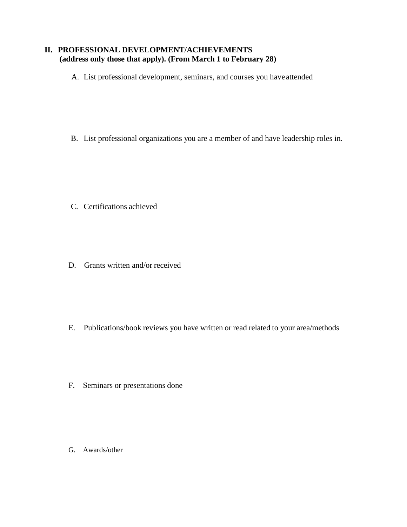#### **II. PROFESSIONAL DEVELOPMENT/ACHIEVEMENTS (address only those that apply). (From March 1 to February 28)**

A. List professional development, seminars, and courses you have attended

B. List professional organizations you are a member of and have leadership roles in.

- C. Certifications achieved
- D. Grants written and/or received

- E. Publications/book reviews you have written or read related to your area/methods
- F. Seminars or presentations done

G. Awards/other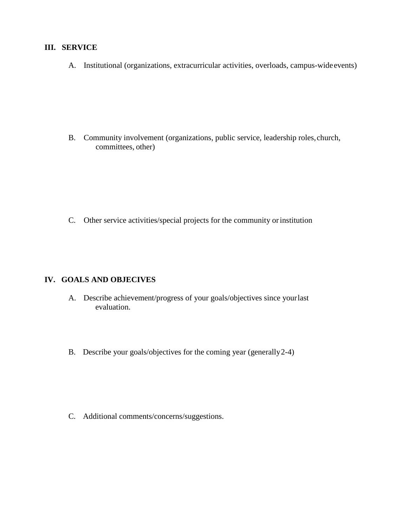#### **III. SERVICE**

A. Institutional (organizations, extracurricular activities, overloads, campus-wide events)

B. Community involvement (organizations, public service, leadership roles, church, committees, other)

C. Other service activities/special projects for the community or institution

#### **IV. GOALS AND OBJECIVES**

- A. Describe achievement/progress of your goals/objectives since yourlast evaluation.
- B. Describe your goals/objectives for the coming year (generally 2-4)

C. Additional comments/concerns/suggestions.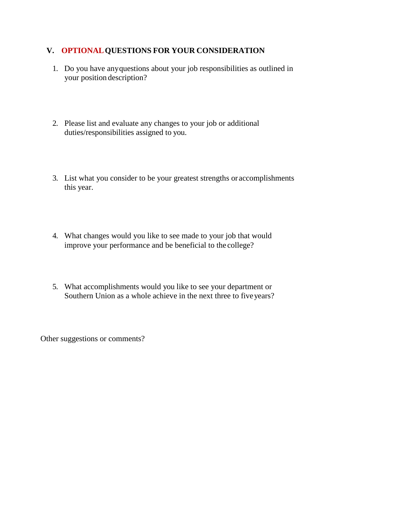#### **V. OPTIONALQUESTIONS FOR YOUR CONSIDERATION**

- 1. Do you have any questions about your job responsibilities as outlined in your position description?
- 2. Please list and evaluate any changes to your job or additional duties/responsibilities assigned to you.
- 3. List what you consider to be your greatest strengths or accomplishments this year.
- 4. What changes would you like to see made to your job that would improve your performance and be beneficial to the college?
- 5. What accomplishments would you like to see your department or Southern Union as a whole achieve in the next three to fiveyears?

Other suggestions or comments?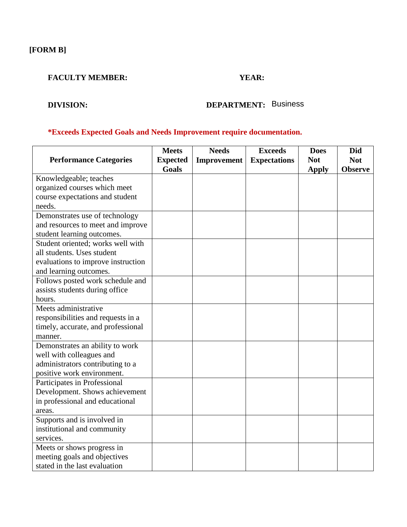**[FORM B]**

#### **FACULTY MEMBER: YEAR:**

### **DIVISION: DEPARTMENT:** Business

#### **\*Exceeds Expected Goals and Needs Improvement require documentation.**

|                                    | <b>Meets</b>    | <b>Needs</b> | <b>Exceeds</b>      | <b>Does</b>  | <b>Did</b>     |
|------------------------------------|-----------------|--------------|---------------------|--------------|----------------|
| <b>Performance Categories</b>      | <b>Expected</b> | Improvement  | <b>Expectations</b> | <b>Not</b>   | <b>Not</b>     |
|                                    | Goals           |              |                     | <b>Apply</b> | <b>Observe</b> |
| Knowledgeable; teaches             |                 |              |                     |              |                |
| organized courses which meet       |                 |              |                     |              |                |
| course expectations and student    |                 |              |                     |              |                |
| needs.                             |                 |              |                     |              |                |
| Demonstrates use of technology     |                 |              |                     |              |                |
| and resources to meet and improve  |                 |              |                     |              |                |
| student learning outcomes.         |                 |              |                     |              |                |
| Student oriented; works well with  |                 |              |                     |              |                |
| all students. Uses student         |                 |              |                     |              |                |
| evaluations to improve instruction |                 |              |                     |              |                |
| and learning outcomes.             |                 |              |                     |              |                |
| Follows posted work schedule and   |                 |              |                     |              |                |
| assists students during office     |                 |              |                     |              |                |
| hours.                             |                 |              |                     |              |                |
| Meets administrative               |                 |              |                     |              |                |
| responsibilities and requests in a |                 |              |                     |              |                |
| timely, accurate, and professional |                 |              |                     |              |                |
| manner.                            |                 |              |                     |              |                |
| Demonstrates an ability to work    |                 |              |                     |              |                |
| well with colleagues and           |                 |              |                     |              |                |
| administrators contributing to a   |                 |              |                     |              |                |
| positive work environment.         |                 |              |                     |              |                |
| Participates in Professional       |                 |              |                     |              |                |
| Development. Shows achievement     |                 |              |                     |              |                |
| in professional and educational    |                 |              |                     |              |                |
| areas.                             |                 |              |                     |              |                |
| Supports and is involved in        |                 |              |                     |              |                |
| institutional and community        |                 |              |                     |              |                |
| services.                          |                 |              |                     |              |                |
| Meets or shows progress in         |                 |              |                     |              |                |
| meeting goals and objectives       |                 |              |                     |              |                |
| stated in the last evaluation      |                 |              |                     |              |                |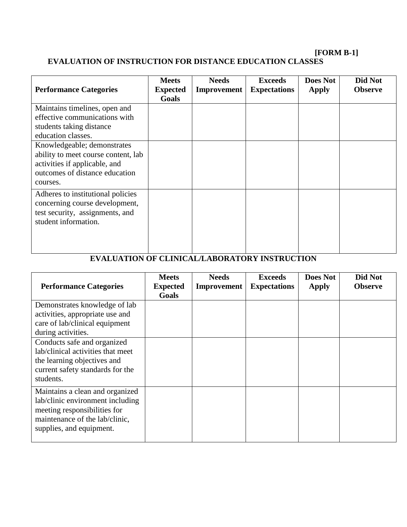#### **[FORM B-1]**

#### **EVALUATION OF INSTRUCTION FOR DISTANCE EDUCATION CLASSES**

| <b>Performance Categories</b>                                                                                                                     | <b>Meets</b><br><b>Expected</b><br>Goals | <b>Needs</b><br>Improvement | <b>Exceeds</b><br><b>Expectations</b> | <b>Does Not</b><br><b>Apply</b> | Did Not<br><b>Observe</b> |
|---------------------------------------------------------------------------------------------------------------------------------------------------|------------------------------------------|-----------------------------|---------------------------------------|---------------------------------|---------------------------|
| Maintains timelines, open and<br>effective communications with<br>students taking distance<br>education classes.                                  |                                          |                             |                                       |                                 |                           |
| Knowledgeable; demonstrates<br>ability to meet course content, lab<br>activities if applicable, and<br>outcomes of distance education<br>courses. |                                          |                             |                                       |                                 |                           |
| Adheres to institutional policies<br>concerning course development,<br>test security, assignments, and<br>student information.                    |                                          |                             |                                       |                                 |                           |

### **EVALUATION OF CLINICAL/LABORATORY INSTRUCTION**

| <b>Performance Categories</b>                                                                                                                                     | <b>Meets</b><br><b>Expected</b><br>Goals | <b>Needs</b><br>Improvement | <b>Exceeds</b><br><b>Expectations</b> | <b>Does Not</b><br>Apply | Did Not<br><b>Observe</b> |
|-------------------------------------------------------------------------------------------------------------------------------------------------------------------|------------------------------------------|-----------------------------|---------------------------------------|--------------------------|---------------------------|
| Demonstrates knowledge of lab<br>activities, appropriate use and<br>care of lab/clinical equipment<br>during activities.                                          |                                          |                             |                                       |                          |                           |
| Conducts safe and organized<br>lab/clinical activities that meet<br>the learning objectives and<br>current safety standards for the<br>students.                  |                                          |                             |                                       |                          |                           |
| Maintains a clean and organized<br>lab/clinic environment including<br>meeting responsibilities for<br>maintenance of the lab/clinic,<br>supplies, and equipment. |                                          |                             |                                       |                          |                           |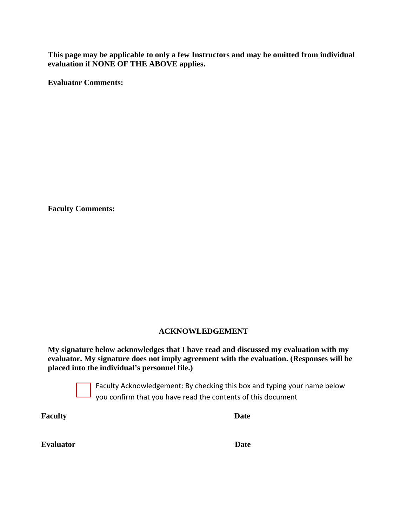**This page may be applicable to only a few Instructors and may be omitted from individual evaluation if NONE OF THE ABOVE applies.**

**Evaluator Comments:** 

**Faculty Comments:**

#### **ACKNOWLEDGEMENT**

**My signature below acknowledges that I have read and discussed my evaluation with my evaluator. My signature does not imply agreement with the evaluation. (Responses will be placed into the individual's personnel file.)**



Faculty Acknowledgement: By checking this box and typing your name below you confirm that you have read the contents of this document

**Faculty Date**

| <b>Evaluator</b> | Date |
|------------------|------|
|                  |      |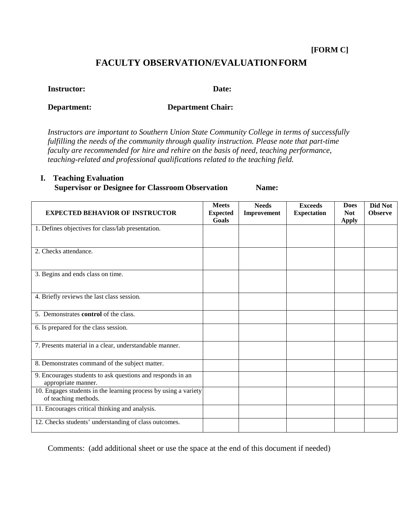#### **[FORM C]**

#### **FACULTY OBSERVATION/EVALUATIONFORM**

#### **Instructor:**

**Date:** 

#### **Department:**

**Department Chair:**

*Instructors are important to Southern Union State Community College in terms of successfully fulfilling the needs of the community through quality instruction. Please note that part-time faculty are recommended for hire and rehire on the basis of need, teaching performance, teaching-related and professional qualifications related to the teaching field.* 

#### **I. Teaching Evaluation**

**Supervisor or Designee for Classroom Observation Name:**

| <b>EXPECTED BEHAVIOR OF INSTRUCTOR</b>                                                  | <b>Meets</b><br><b>Expected</b><br>Goals | <b>Needs</b><br>Improvement | <b>Exceeds</b><br><b>Expectation</b> | <b>Does</b><br><b>Not</b><br><b>Apply</b> | Did Not<br><b>Observe</b> |
|-----------------------------------------------------------------------------------------|------------------------------------------|-----------------------------|--------------------------------------|-------------------------------------------|---------------------------|
| 1. Defines objectives for class/lab presentation.                                       |                                          |                             |                                      |                                           |                           |
| 2. Checks attendance.                                                                   |                                          |                             |                                      |                                           |                           |
| 3. Begins and ends class on time.                                                       |                                          |                             |                                      |                                           |                           |
| 4. Briefly reviews the last class session.                                              |                                          |                             |                                      |                                           |                           |
| 5. Demonstrates <b>control</b> of the class.                                            |                                          |                             |                                      |                                           |                           |
| 6. Is prepared for the class session.                                                   |                                          |                             |                                      |                                           |                           |
| 7. Presents material in a clear, understandable manner.                                 |                                          |                             |                                      |                                           |                           |
| 8. Demonstrates command of the subject matter.                                          |                                          |                             |                                      |                                           |                           |
| 9. Encourages students to ask questions and responds in an<br>appropriate manner.       |                                          |                             |                                      |                                           |                           |
| 10. Engages students in the learning process by using a variety<br>of teaching methods. |                                          |                             |                                      |                                           |                           |
| 11. Encourages critical thinking and analysis.                                          |                                          |                             |                                      |                                           |                           |
| 12. Checks students' understanding of class outcomes.                                   |                                          |                             |                                      |                                           |                           |

Comments: (add additional sheet or use the space at the end of this document if needed)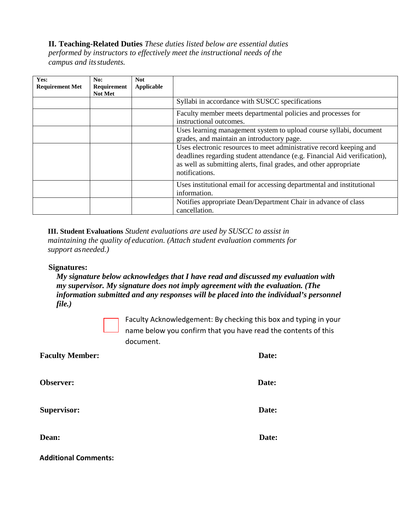**II. Teaching-Related Duties** *These duties listed below are essential duties performed by instructors to effectively meet the instructional needs of the campus and its students.*

| Yes:<br><b>Requirement Met</b> | No:<br>Requirement<br><b>Not Met</b> | <b>Not</b><br>Applicable |                                                                                                                                                                                                                                         |
|--------------------------------|--------------------------------------|--------------------------|-----------------------------------------------------------------------------------------------------------------------------------------------------------------------------------------------------------------------------------------|
|                                |                                      |                          | Syllabi in accordance with SUSCC specifications                                                                                                                                                                                         |
|                                |                                      |                          | Faculty member meets departmental policies and processes for<br>instructional outcomes.                                                                                                                                                 |
|                                |                                      |                          | Uses learning management system to upload course syllabi, document<br>grades, and maintain an introductory page.                                                                                                                        |
|                                |                                      |                          | Uses electronic resources to meet administrative record keeping and<br>deadlines regarding student attendance (e.g. Financial Aid verification),<br>as well as submitting alerts, final grades, and other appropriate<br>notifications. |
|                                |                                      |                          | Uses institutional email for accessing departmental and institutional<br>information.                                                                                                                                                   |
|                                |                                      |                          | Notifies appropriate Dean/Department Chair in advance of class<br>cancellation.                                                                                                                                                         |

**III. Student Evaluations** *Student evaluations are used by SUSCC to assist in maintaining the quality of education. (Attach student evaluation comments for support as needed.)*

#### **Signatures:**

*My signature below acknowledges that I have read and discussed my evaluation with my supervisor. My signature does not imply agreement with the evaluation. (The information submitted and any responses will be placed into the individual's personnel file.)*

Faculty Acknowledgement: By checking this box and typing in your name below you confirm that you have read the contents of this document.

| <b>Faculty Member:</b> | Date: |
|------------------------|-------|
| Observer:              | Date: |
| <b>Supervisor:</b>     | Date: |
| Dean:                  | Date: |

**Additional Comments:**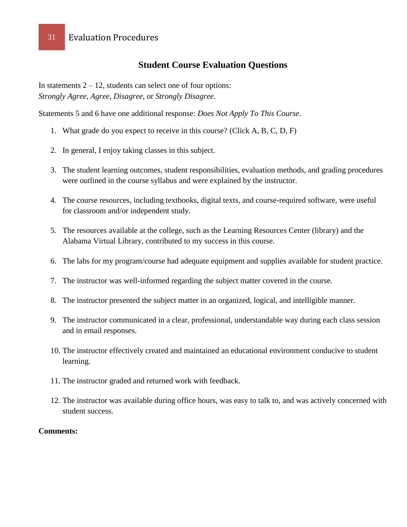#### **Student Course Evaluation Questions**

In statements  $2 - 12$ , students can select one of four options: *Strongly Agree*, *Agree*, *Disagree*, or *Strongly Disagree*.

Statements 5 and 6 have one additional response: *Does Not Apply To This Course.*

- 1. What grade do you expect to receive in this course? (Click A, B, C, D, F)
- 2. In general, I enjoy taking classes in this subject.
- 3. The student learning outcomes, student responsibilities, evaluation methods, and grading procedures were outlined in the course syllabus and were explained by the instructor.
- 4. The course resources, including textbooks, digital texts, and course-required software, were useful for classroom and/or independent study.
- 5. The resources available at the college, such as the Learning Resources Center (library) and the Alabama Virtual Library, contributed to my success in this course.
- 6. The labs for my program/course had adequate equipment and supplies available for student practice.
- 7. The instructor was well-informed regarding the subject matter covered in the course.
- 8. The instructor presented the subject matter in an organized, logical, and intelligible manner.
- 9. The instructor communicated in a clear, professional, understandable way during each class session and in email responses.
- 10. The instructor effectively created and maintained an educational environment conducive to student learning.
- 11. The instructor graded and returned work with feedback.
- 12. The instructor was available during office hours, was easy to talk to, and was actively concerned with student success.

#### **Comments:**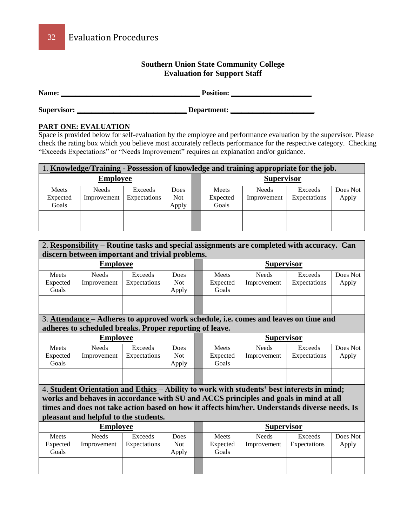#### **Southern Union State Community College Evaluation for Support Staff**

**Name: \_\_\_\_\_\_\_\_\_\_\_\_\_\_\_\_\_\_\_\_\_\_\_\_\_\_\_\_\_\_\_\_\_\_\_\_\_\_ Position: \_\_\_\_\_\_\_\_\_\_\_\_\_\_\_\_\_\_\_\_\_\_**

**Supervisor: \_\_\_\_\_\_\_\_\_\_\_\_\_\_\_\_\_\_\_\_\_\_\_\_\_\_\_\_\_\_ Department: \_\_\_\_\_\_\_\_\_\_\_\_\_\_\_\_\_\_\_\_\_\_\_**

#### **PART ONE: EVALUATION**

Space is provided below for self-evaluation by the employee and performance evaluation by the supervisor. Please check the rating box which you believe most accurately reflects performance for the respective category. Checking "Exceeds Expectations" or "Needs Improvement" requires an explanation and/or guidance.

| 1. Knowledge/Training - Possession of knowledge and training appropriate for the job. |              |              |            |  |          |                   |              |          |  |
|---------------------------------------------------------------------------------------|--------------|--------------|------------|--|----------|-------------------|--------------|----------|--|
| <b>Employee</b>                                                                       |              |              |            |  |          | <b>Supervisor</b> |              |          |  |
| Meets                                                                                 | <b>Needs</b> | Exceeds      | Does       |  | Meets    | <b>Needs</b>      | Exceeds      | Does Not |  |
| Expected                                                                              | Improvement  | Expectations | <b>Not</b> |  | Expected | Improvement       | Expectations | Apply    |  |
| Goals                                                                                 |              |              | Apply      |  | Goals    |                   |              |          |  |
|                                                                                       |              |              |            |  |          |                   |              |          |  |
|                                                                                       |              |              |            |  |          |                   |              |          |  |

| 2. Responsibility - Routine tasks and special assignments are completed with accuracy. Can<br>discern between important and trivial problems.   |                                       |                         |                             |  |                                   |                                                                                                                                                                                    |                         |                   |  |
|-------------------------------------------------------------------------------------------------------------------------------------------------|---------------------------------------|-------------------------|-----------------------------|--|-----------------------------------|------------------------------------------------------------------------------------------------------------------------------------------------------------------------------------|-------------------------|-------------------|--|
|                                                                                                                                                 | <b>Employee</b>                       |                         |                             |  |                                   | <b>Supervisor</b>                                                                                                                                                                  |                         |                   |  |
| Meets<br>Expected<br>Goals                                                                                                                      | <b>Needs</b><br>Improvement           | Exceeds<br>Expectations | Does<br><b>Not</b><br>Apply |  | Meets<br>Expected<br>Goals        | <b>Needs</b><br>Improvement                                                                                                                                                        | Exceeds<br>Expectations | Does Not<br>Apply |  |
|                                                                                                                                                 |                                       |                         |                             |  |                                   |                                                                                                                                                                                    |                         |                   |  |
| 3. Attendance – Adheres to approved work schedule, i.e. comes and leaves on time and<br>adheres to scheduled breaks. Proper reporting of leave. |                                       |                         |                             |  |                                   |                                                                                                                                                                                    |                         |                   |  |
|                                                                                                                                                 | <b>Employee</b>                       |                         |                             |  |                                   | <b>Supervisor</b>                                                                                                                                                                  |                         |                   |  |
| Meets<br>Expected<br>Goals                                                                                                                      | <b>Needs</b><br>Improvement           | Exceeds<br>Expectations | Does<br><b>Not</b><br>Apply |  | Meets<br>Expected<br>Goals        | <b>Needs</b><br>Improvement                                                                                                                                                        | Exceeds<br>Expectations | Does Not<br>Apply |  |
|                                                                                                                                                 |                                       |                         |                             |  |                                   |                                                                                                                                                                                    |                         |                   |  |
|                                                                                                                                                 |                                       |                         |                             |  |                                   | 4. Student Orientation and Ethics - Ability to work with students' best interests in mind;<br>works and behaves in accordance with SU and ACCS principles and goals in mind at all |                         |                   |  |
|                                                                                                                                                 |                                       |                         |                             |  |                                   | times and does not take action based on how it affects him/her. Understands diverse needs. Is                                                                                      |                         |                   |  |
|                                                                                                                                                 | pleasant and helpful to the students. |                         |                             |  |                                   |                                                                                                                                                                                    |                         |                   |  |
|                                                                                                                                                 | <b>Employee</b>                       |                         |                             |  |                                   | <b>Supervisor</b>                                                                                                                                                                  |                         |                   |  |
| Meets<br>Expected<br>Goals                                                                                                                      | <b>Needs</b><br>Improvement           | Exceeds<br>Expectations | Does<br><b>Not</b><br>Apply |  | <b>Meets</b><br>Expected<br>Goals | <b>Needs</b><br>Improvement                                                                                                                                                        | Exceeds<br>Expectations | Does Not<br>Apply |  |
|                                                                                                                                                 |                                       |                         |                             |  |                                   |                                                                                                                                                                                    |                         |                   |  |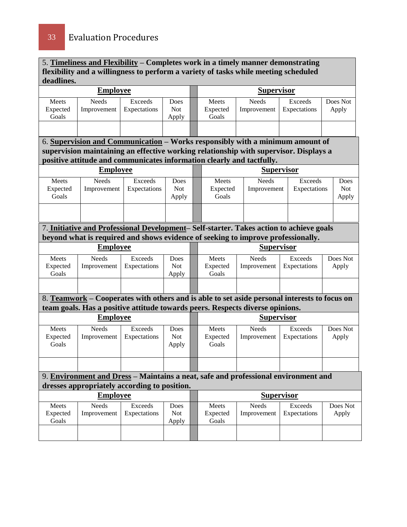5. **Timeliness and Flexibility – Completes work in a timely manner demonstrating flexibility and a willingness to perform a variety of tasks while meeting scheduled deadlines.** 

| <b>Employee</b>            |                                                                                              |                         |                             | <b>Supervisor</b> |                            |                      |                                |                   |  |
|----------------------------|----------------------------------------------------------------------------------------------|-------------------------|-----------------------------|-------------------|----------------------------|----------------------|--------------------------------|-------------------|--|
| Meets<br>Expected<br>Goals | <b>Needs</b><br>Improvement                                                                  | Exceeds<br>Expectations | Does<br><b>Not</b><br>Apply |                   | Meets<br>Expected<br>Goals | Needs<br>Improvement | <b>Exceeds</b><br>Expectations | Does Not<br>Apply |  |
|                            |                                                                                              |                         |                             |                   |                            |                      |                                |                   |  |
|                            | 6. Supervision and Communication - Works responsibly with a minimum amount of                |                         |                             |                   |                            |                      |                                |                   |  |
|                            | supervision maintaining an effective working relationship with supervisor. Displays a        |                         |                             |                   |                            |                      |                                |                   |  |
|                            | positive attitude and communicates information clearly and tactfully.                        |                         |                             |                   |                            |                      |                                |                   |  |
|                            | <b>Employee</b>                                                                              |                         |                             |                   |                            |                      | <b>Supervisor</b>              |                   |  |
| Meets                      | Needs                                                                                        | <b>Exceeds</b>          | Does                        |                   | Meets                      | <b>Needs</b>         | <b>Exceeds</b>                 | Does              |  |
| Expected                   | Improvement                                                                                  | Expectations            | <b>Not</b>                  |                   | Expected                   | Improvement          | Expectations                   | <b>Not</b>        |  |
| Goals                      |                                                                                              |                         | Apply                       |                   | Goals                      |                      |                                | Apply             |  |
|                            |                                                                                              |                         |                             |                   |                            |                      |                                |                   |  |
|                            | 7. Initiative and Professional Development-Self-starter. Takes action to achieve goals       |                         |                             |                   |                            |                      |                                |                   |  |
|                            | beyond what is required and shows evidence of seeking to improve professionally.             |                         |                             |                   |                            |                      |                                |                   |  |
| <b>Employee</b>            |                                                                                              |                         |                             | <b>Supervisor</b> |                            |                      |                                |                   |  |
| Meets                      | Needs                                                                                        | Exceeds                 | Does                        |                   | Meets                      | <b>Needs</b>         | Exceeds                        | Does Not          |  |
| Expected<br>Goals          | Improvement                                                                                  | Expectations            | <b>Not</b><br>Apply         |                   | Expected<br>Goals          | Improvement          | Expectations                   | Apply             |  |
|                            |                                                                                              |                         |                             |                   |                            |                      |                                |                   |  |
|                            | 8. Teamwork – Cooperates with others and is able to set aside personal interests to focus on |                         |                             |                   |                            |                      |                                |                   |  |
|                            | team goals. Has a positive attitude towards peers. Respects diverse opinions.                |                         |                             |                   |                            |                      |                                |                   |  |
|                            | <b>Employee</b>                                                                              |                         |                             |                   |                            | <b>Supervisor</b>    |                                |                   |  |
| Meets                      | Needs                                                                                        | <b>Exceeds</b>          | Does                        |                   | Meets                      | <b>Needs</b>         | <b>Exceeds</b>                 | Does Not          |  |
| Expected                   | Improvement                                                                                  | Expectations            | <b>Not</b>                  |                   | Expected                   | Improvement          | Expectations                   | Apply             |  |
| Goals                      |                                                                                              |                         | Apply                       |                   | Goals                      |                      |                                |                   |  |
|                            |                                                                                              |                         |                             |                   |                            |                      |                                |                   |  |
|                            | 9. Environment and Dress - Maintains a neat, safe and professional environment and           |                         |                             |                   |                            |                      |                                |                   |  |
|                            | dresses appropriately according to position.                                                 |                         |                             |                   |                            |                      |                                |                   |  |
|                            | <b>Employee</b>                                                                              |                         |                             |                   |                            |                      | <b>Supervisor</b>              |                   |  |
| Meets                      | <b>Needs</b>                                                                                 | Exceeds                 | Does                        |                   | Meets                      | Needs                | <b>Exceeds</b>                 | Does Not          |  |
| Expected<br>Goals          | Improvement                                                                                  | Expectations            | <b>Not</b><br>Apply         |                   | Expected<br>Goals          | Improvement          | Expectations                   | Apply             |  |
|                            |                                                                                              |                         |                             |                   |                            |                      |                                |                   |  |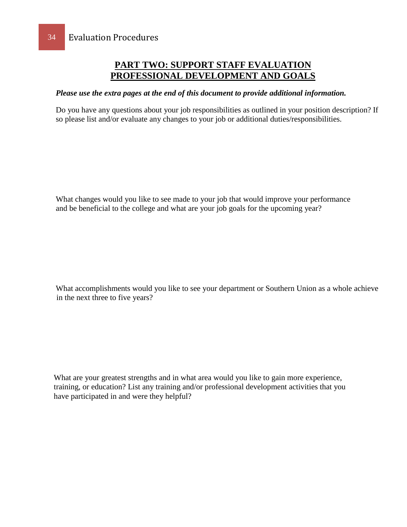#### **PART TWO: SUPPORT STAFF EVALUATION PROFESSIONAL DEVELOPMENT AND GOALS**

#### *Please use the extra pages at the end of this document to provide additional information.*

Do you have any questions about your job responsibilities as outlined in your position description? If so please list and/or evaluate any changes to your job or additional duties/responsibilities.

What changes would you like to see made to your job that would improve your performance and be beneficial to the college and what are your job goals for the upcoming year?

What accomplishments would you like to see your department or Southern Union as a whole achieve in the next three to five years?

What are your greatest strengths and in what area would you like to gain more experience, training, or education? List any training and/or professional development activities that you have participated in and were they helpful?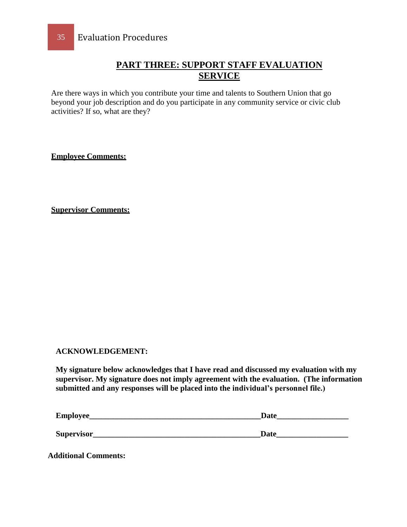#### **PART THREE: SUPPORT STAFF EVALUATION SERVICE**

Are there ways in which you contribute your time and talents to Southern Union that go beyond your job description and do you participate in any community service or civic club activities? If so, what are they?

**Employee Comments:**

**Supervisor Comments:**

#### **ACKNOWLEDGEMENT:**

**My signature below acknowledges that I have read and discussed my evaluation with my supervisor. My signature does not imply agreement with the evaluation. (The information submitted and any responses will be placed into the individual's personnel file.)**

| Employee_  | Date |
|------------|------|
|            |      |
| Supervisor | Date |

**Additional Comments:**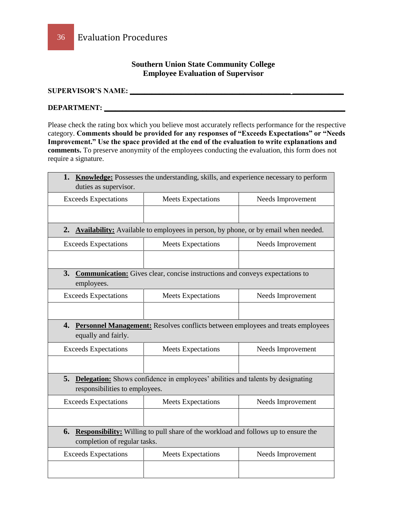#### **Southern Union State Community College Employee Evaluation of Supervisor**

#### **SUPERVISOR'S NAME: \_\_\_\_\_\_\_\_\_\_\_\_\_\_\_\_\_\_\_\_\_\_\_\_\_\_\_\_\_\_\_\_\_\_\_\_\_\_\_\_\_\_\_\_ \_\_\_\_\_\_\_\_\_\_\_\_\_\_**

#### **DEPARTMENT: \_\_\_\_\_\_\_\_\_\_\_\_\_\_\_\_\_\_\_\_\_\_\_\_\_\_\_\_\_\_\_\_\_\_\_\_\_\_\_\_\_\_\_\_\_\_\_\_\_\_\_\_\_\_\_\_\_\_\_\_\_\_\_\_\_\_**

Please check the rating box which you believe most accurately reflects performance for the respective category. **Comments should be provided for any responses of "Exceeds Expectations" or "Needs Improvement." Use the space provided at the end of the evaluation to write explanations and comments.** To preserve anonymity of the employees conducting the evaluation, this form does not require a signature.

| duties as supervisor.                                                         | <b>1. Knowledge:</b> Possesses the understanding, skills, and experience necessary to perform |                   |  |  |  |  |  |
|-------------------------------------------------------------------------------|-----------------------------------------------------------------------------------------------|-------------------|--|--|--|--|--|
| <b>Exceeds Expectations</b><br><b>Meets Expectations</b><br>Needs Improvement |                                                                                               |                   |  |  |  |  |  |
|                                                                               |                                                                                               |                   |  |  |  |  |  |
|                                                                               | 2. Availability: Available to employees in person, by phone, or by email when needed.         |                   |  |  |  |  |  |
| <b>Exceeds Expectations</b>                                                   | <b>Meets Expectations</b><br>Needs Improvement                                                |                   |  |  |  |  |  |
|                                                                               |                                                                                               |                   |  |  |  |  |  |
| 3.<br>employees.                                                              | <b>Communication:</b> Gives clear, concise instructions and conveys expectations to           |                   |  |  |  |  |  |
| <b>Exceeds Expectations</b><br><b>Meets Expectations</b><br>Needs Improvement |                                                                                               |                   |  |  |  |  |  |
|                                                                               |                                                                                               |                   |  |  |  |  |  |
| equally and fairly.                                                           | <b>4. Personnel Management:</b> Resolves conflicts between employees and treats employees     |                   |  |  |  |  |  |
| <b>Exceeds Expectations</b>                                                   | <b>Meets Expectations</b>                                                                     | Needs Improvement |  |  |  |  |  |
|                                                                               |                                                                                               |                   |  |  |  |  |  |
| 5.<br>responsibilities to employees.                                          | <b>Delegation:</b> Shows confidence in employees' abilities and talents by designating        |                   |  |  |  |  |  |
| <b>Exceeds Expectations</b>                                                   | <b>Meets Expectations</b>                                                                     | Needs Improvement |  |  |  |  |  |
|                                                                               |                                                                                               |                   |  |  |  |  |  |
| completion of regular tasks.                                                  | 6. Responsibility: Willing to pull share of the workload and follows up to ensure the         |                   |  |  |  |  |  |
| <b>Exceeds Expectations</b>                                                   | <b>Meets Expectations</b>                                                                     | Needs Improvement |  |  |  |  |  |
|                                                                               |                                                                                               |                   |  |  |  |  |  |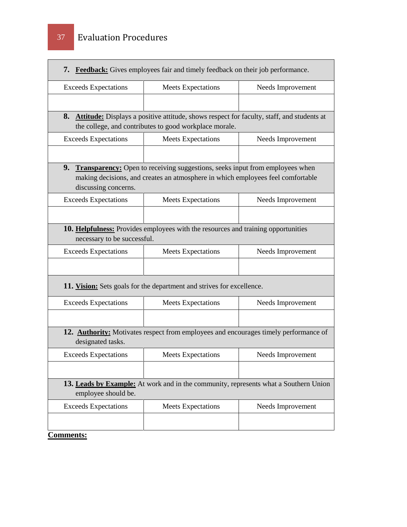| <b>Exceeds Expectations</b> | <b>Meets Expectations</b>                                                                                                                                          | Needs Improvement |
|-----------------------------|--------------------------------------------------------------------------------------------------------------------------------------------------------------------|-------------------|
|                             |                                                                                                                                                                    |                   |
|                             | 8. Attitude: Displays a positive attitude, shows respect for faculty, staff, and students at<br>the college, and contributes to good workplace morale.             |                   |
| <b>Exceeds Expectations</b> | <b>Meets Expectations</b>                                                                                                                                          | Needs Improvement |
| discussing concerns.        | 9. Transparency: Open to receiving suggestions, seeks input from employees when<br>making decisions, and creates an atmosphere in which employees feel comfortable |                   |
| <b>Exceeds Expectations</b> | <b>Meets Expectations</b>                                                                                                                                          | Needs Improvement |
|                             |                                                                                                                                                                    |                   |
| necessary to be successful. | 10. Helpfulness: Provides employees with the resources and training opportunities                                                                                  |                   |
| <b>Exceeds Expectations</b> | <b>Meets Expectations</b>                                                                                                                                          | Needs Improvement |
|                             |                                                                                                                                                                    |                   |
|                             | 11. Vision: Sets goals for the department and strives for excellence.                                                                                              |                   |
| <b>Exceeds Expectations</b> | <b>Meets Expectations</b>                                                                                                                                          | Needs Improvement |
|                             |                                                                                                                                                                    |                   |
| designated tasks.           | 12. <b>Authority:</b> Motivates respect from employees and encourages timely performance of                                                                        |                   |
| <b>Exceeds Expectations</b> | <b>Meets Expectations</b>                                                                                                                                          | Needs Improvement |
|                             |                                                                                                                                                                    |                   |
| employee should be.         | 13. Leads by Example: At work and in the community, represents what a Southern Union                                                                               |                   |
| <b>Exceeds Expectations</b> | <b>Meets Expectations</b>                                                                                                                                          | Needs Improvement |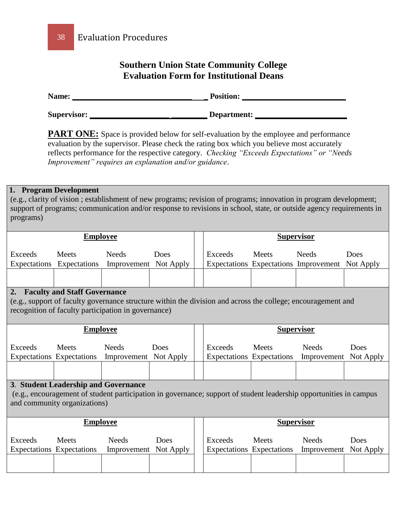#### **Southern Union State Community College Evaluation Form for Institutional Deans**

| Name:              | <b>Position:</b> |
|--------------------|------------------|
| <b>Supervisor:</b> | Department:      |

**PART ONE:** Space is provided below for self-evaluation by the employee and performance evaluation by the supervisor. Please check the rating box which you believe most accurately reflects performance for the respective category. *Checking "Exceeds Expectations" or "Needs Improvement" requires an explanation and/or guidance*.

#### **1. Program Development**

(e.g., clarity of vision ; establishment of new programs; revision of programs; innovation in program development; support of programs; communication and/or response to revisions in school, state, or outside agency requirements in programs)

| <b>Employee</b>                                                                                                                                                                                                  |                                           |                                       |                   |  | <b>Supervisor</b> |                                           |                                                                 |                   |
|------------------------------------------------------------------------------------------------------------------------------------------------------------------------------------------------------------------|-------------------------------------------|---------------------------------------|-------------------|--|-------------------|-------------------------------------------|-----------------------------------------------------------------|-------------------|
| Exceeds<br>Expectations                                                                                                                                                                                          | Meets<br>Expectations                     | <b>Needs</b><br>Improvement Not Apply | Does              |  | Exceeds           | <b>Meets</b>                              | <b>Needs</b><br>Expectations Expectations Improvement Not Apply | Does              |
|                                                                                                                                                                                                                  |                                           |                                       |                   |  |                   |                                           |                                                                 |                   |
| 2.<br><b>Faculty and Staff Governance</b><br>(e.g., support of faculty governance structure within the division and across the college; encouragement and<br>recognition of faculty participation in governance) |                                           |                                       |                   |  |                   |                                           |                                                                 |                   |
|                                                                                                                                                                                                                  | <b>Employee</b>                           |                                       |                   |  | <b>Supervisor</b> |                                           |                                                                 |                   |
| Exceeds                                                                                                                                                                                                          | Meets<br><b>Expectations</b> Expectations | <b>Needs</b><br>Improvement Not Apply | Does              |  | Exceeds           | Meets<br>Expectations Expectations        | <b>Needs</b><br>Improvement                                     | Does<br>Not Apply |
|                                                                                                                                                                                                                  |                                           |                                       |                   |  |                   |                                           |                                                                 |                   |
| 3. Student Leadership and Governance<br>(e.g., encouragement of student participation in governance; support of student leadership opportunities in campus<br>and community organizations)                       |                                           |                                       |                   |  |                   |                                           |                                                                 |                   |
| <b>Employee</b>                                                                                                                                                                                                  |                                           |                                       |                   |  | <b>Supervisor</b> |                                           |                                                                 |                   |
| Exceeds                                                                                                                                                                                                          | Meets<br><b>Expectations Expectations</b> | <b>Needs</b><br>Improvement           | Does<br>Not Apply |  | Exceeds           | <b>Meets</b><br>Expectations Expectations | <b>Needs</b><br>Improvement                                     | Does<br>Not Apply |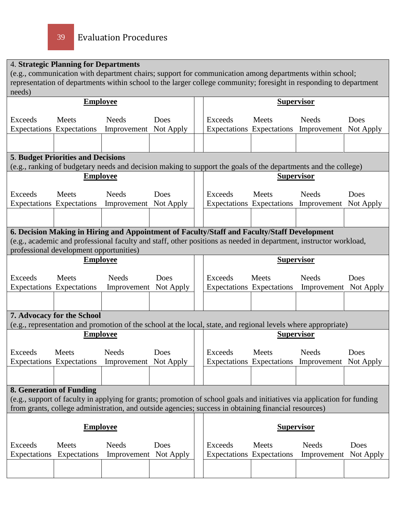### 4. **Strategic Planning for Departments**

(e.g., communication with department chairs; support for communication among departments within school; representation of departments within school to the larger college community; foresight in responding to department needs)

|                                 |                                           | <b>Employee</b>                                                                                                         |           |                                  | <b>Supervisor</b> |                                                 |           |
|---------------------------------|-------------------------------------------|-------------------------------------------------------------------------------------------------------------------------|-----------|----------------------------------|-------------------|-------------------------------------------------|-----------|
| <b>Exceeds</b>                  | Meets                                     | <b>Needs</b>                                                                                                            | Does      | <b>Exceeds</b>                   | Meets             | <b>Needs</b>                                    | Does      |
|                                 | <b>Expectations</b> Expectations          | Improvement Not Apply                                                                                                   |           | <b>Expectations</b> Expectations |                   | Improvement                                     | Not Apply |
|                                 |                                           |                                                                                                                         |           |                                  |                   |                                                 |           |
|                                 |                                           |                                                                                                                         |           |                                  |                   |                                                 |           |
|                                 | <b>5. Budget Priorities and Decisions</b> | (e.g., ranking of budgetary needs and decision making to support the goals of the departments and the college)          |           |                                  |                   |                                                 |           |
|                                 | <b>Employee</b>                           |                                                                                                                         |           |                                  |                   | <b>Supervisor</b>                               |           |
|                                 |                                           |                                                                                                                         |           |                                  |                   |                                                 |           |
| <b>Exceeds</b>                  | Meets                                     | <b>Needs</b>                                                                                                            | Does      | <b>Exceeds</b>                   | Meets             | <b>Needs</b>                                    | Does      |
|                                 | <b>Expectations</b> Expectations          | Improvement Not Apply                                                                                                   |           |                                  |                   | Expectations Expectations Improvement Not Apply |           |
|                                 |                                           |                                                                                                                         |           |                                  |                   |                                                 |           |
|                                 |                                           | 6. Decision Making in Hiring and Appointment of Faculty/Staff and Faculty/Staff Development                             |           |                                  |                   |                                                 |           |
|                                 |                                           | (e.g., academic and professional faculty and staff, other positions as needed in department, instructor workload,       |           |                                  |                   |                                                 |           |
|                                 | professional development opportunities)   |                                                                                                                         |           |                                  |                   |                                                 |           |
|                                 | <b>Employee</b>                           |                                                                                                                         |           |                                  | <b>Supervisor</b> |                                                 |           |
| Exceeds                         | Meets                                     | <b>Needs</b>                                                                                                            | Does      | <b>Exceeds</b>                   | Meets             | <b>Needs</b>                                    | Does      |
|                                 | <b>Expectations</b> Expectations          | Improvement Not Apply                                                                                                   |           | <b>Expectations</b> Expectations |                   | Improvement Not Apply                           |           |
|                                 |                                           |                                                                                                                         |           |                                  |                   |                                                 |           |
|                                 | 7. Advocacy for the School                |                                                                                                                         |           |                                  |                   |                                                 |           |
|                                 |                                           | (e.g., representation and promotion of the school at the local, state, and regional levels where appropriate)           |           |                                  |                   |                                                 |           |
|                                 | <b>Employee</b>                           |                                                                                                                         |           |                                  | <b>Supervisor</b> |                                                 |           |
| <b>Exceeds</b>                  | Meets                                     | <b>Needs</b>                                                                                                            | Does      | Exceeds                          | Meets             | <b>Needs</b>                                    | Does      |
|                                 | <b>Expectations</b> Expectations          | Improvement Not Apply                                                                                                   |           | <b>Expectations</b> Expectations |                   | Improvement                                     | Not Apply |
|                                 |                                           |                                                                                                                         |           |                                  |                   |                                                 |           |
|                                 |                                           |                                                                                                                         |           |                                  |                   |                                                 |           |
| <b>8. Generation of Funding</b> |                                           |                                                                                                                         |           |                                  |                   |                                                 |           |
|                                 |                                           | (e.g., support of faculty in applying for grants; promotion of school goals and initiatives via application for funding |           |                                  |                   |                                                 |           |
|                                 |                                           | from grants, college administration, and outside agencies; success in obtaining financial resources)                    |           |                                  |                   |                                                 |           |
|                                 | <b>Employee</b>                           |                                                                                                                         |           |                                  | <b>Supervisor</b> |                                                 |           |
|                                 |                                           |                                                                                                                         |           |                                  |                   |                                                 |           |
| <b>Exceeds</b>                  | Meets                                     | <b>Needs</b>                                                                                                            | Does      | <b>Exceeds</b>                   | Meets             | <b>Needs</b>                                    | Does      |
| Expectations                    | Expectations                              | Improvement                                                                                                             | Not Apply | <b>Expectations</b> Expectations |                   | Improvement                                     | Not Apply |
|                                 |                                           |                                                                                                                         |           |                                  |                   |                                                 |           |
|                                 |                                           |                                                                                                                         |           |                                  |                   |                                                 |           |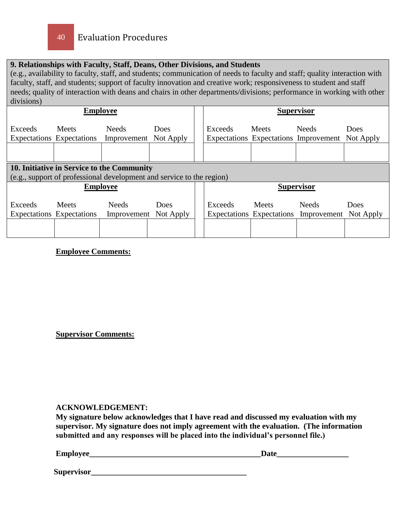#### **9. Relationships with Faculty, Staff, Deans, Other Divisions, and Students**

(e.g., availability to faculty, staff, and students; communication of needs to faculty and staff; quality interaction with faculty, staff, and students; support of faculty innovation and creative work; responsiveness to student and staff needs; quality of interaction with deans and chairs in other departments/divisions; performance in working with other divisions)

|                |                                           | <b>Employee</b>                                                       |                   |  |         |                                           | <b>Supervisor</b>                                               |             |
|----------------|-------------------------------------------|-----------------------------------------------------------------------|-------------------|--|---------|-------------------------------------------|-----------------------------------------------------------------|-------------|
| Exceeds        | Meets<br><b>Expectations</b> Expectations | <b>Needs</b><br>Improvement                                           | Does<br>Not Apply |  | Exceeds | <b>Meets</b>                              | <b>Needs</b><br>Expectations Expectations Improvement Not Apply | <b>Does</b> |
|                |                                           |                                                                       |                   |  |         |                                           |                                                                 |             |
|                |                                           | 10. Initiative in Service to the Community                            |                   |  |         |                                           |                                                                 |             |
|                |                                           | (e.g., support of professional development and service to the region) |                   |  |         |                                           |                                                                 |             |
|                |                                           | <b>Employee</b>                                                       |                   |  |         |                                           | <b>Supervisor</b>                                               |             |
| <b>Exceeds</b> | Meets<br>Expectations Expectations        | <b>Needs</b><br>Improvement Not Apply                                 | Does              |  | Exceeds | <b>Meets</b><br>Expectations Expectations | <b>Needs</b><br>Improvement Not Apply                           | Does        |
|                |                                           |                                                                       |                   |  |         |                                           |                                                                 |             |

#### **Employee Comments:**

#### **Supervisor Comments:**

#### **ACKNOWLEDGEMENT:**

**My signature below acknowledges that I have read and discussed my evaluation with my supervisor. My signature does not imply agreement with the evaluation. (The information submitted and any responses will be placed into the individual's personnel file.)**

| Employee | Date |
|----------|------|
|          |      |
|          |      |

 **Supervisor\_\_\_\_\_\_\_\_\_\_\_\_\_\_\_\_\_\_\_\_\_\_\_\_\_\_\_\_\_\_\_\_\_\_\_\_\_\_\_**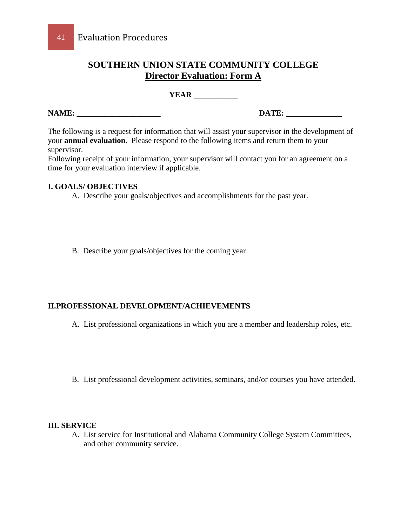#### **SOUTHERN UNION STATE COMMUNITY COLLEGE Director Evaluation: Form A**

**YEAR \_\_\_\_\_\_\_\_\_\_\_**

**NAME: \_\_\_\_\_\_\_\_\_\_\_\_\_\_\_\_\_\_\_\_\_ DATE: \_\_\_\_\_\_\_\_\_\_\_\_\_\_**

The following is a request for information that will assist your supervisor in the development of your **annual evaluation**. Please respond to the following items and return them to your supervisor.

Following receipt of your information, your supervisor will contact you for an agreement on a time for your evaluation interview if applicable.

#### **I. GOALS/ OBJECTIVES**

A. Describe your goals/objectives and accomplishments for the past year.

B. Describe your goals/objectives for the coming year.

#### **II.PROFESSIONAL DEVELOPMENT/ACHIEVEMENTS**

A. List professional organizations in which you are a member and leadership roles, etc.

B. List professional development activities, seminars, and/or courses you have attended.

#### **III. SERVICE**

A. List service for Institutional and Alabama Community College System Committees, and other community service.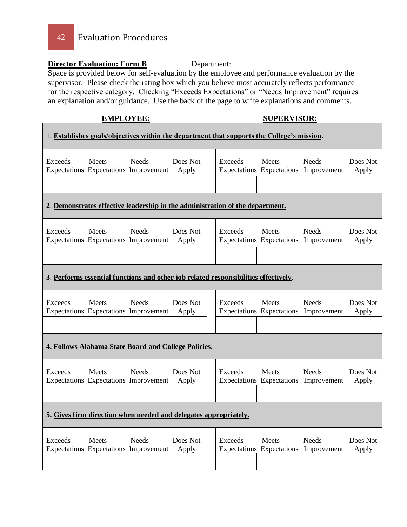42 Evaluation Procedures

#### **Director Evaluation: Form B** Department: \_\_\_\_\_\_\_\_\_\_\_\_\_\_\_\_\_\_\_\_\_\_\_\_\_\_\_\_

Space is provided below for self-evaluation by the employee and performance evaluation by the supervisor. Please check the rating box which you believe most accurately reflects performance for the respective category. Checking "Exceeds Expectations" or "Needs Improvement" requires an explanation and/or guidance. Use the back of the page to write explanations and comments.

#### **EMPLOYEE: SUPERVISOR:**

|                                                                                     |              |                                                                               |                   |  |         | 1. Establishes goals/objectives within the department that supports the College's mission. |                                                       |                   |
|-------------------------------------------------------------------------------------|--------------|-------------------------------------------------------------------------------|-------------------|--|---------|--------------------------------------------------------------------------------------------|-------------------------------------------------------|-------------------|
| Exceeds                                                                             | Meets        | <b>Needs</b><br>Expectations Expectations Improvement                         | Does Not<br>Apply |  | Exceeds | Meets<br><b>Expectations</b> Expectations                                                  | <b>Needs</b><br>Improvement                           | Does Not<br>Apply |
|                                                                                     |              | 2. Demonstrates effective leadership in the administration of the department. |                   |  |         |                                                                                            |                                                       |                   |
| Exceeds                                                                             | Meets        | <b>Needs</b><br>Expectations Expectations Improvement                         | Does Not<br>Apply |  | Exceeds | Meets                                                                                      | <b>Needs</b><br>Expectations Expectations Improvement | Does Not<br>Apply |
| 3. Performs essential functions and other job related responsibilities effectively. |              |                                                                               |                   |  |         |                                                                                            |                                                       |                   |
| Exceeds                                                                             | Meets        | <b>Needs</b><br>Expectations Expectations Improvement                         | Does Not<br>Apply |  | Exceeds | Meets<br><b>Expectations</b> Expectations                                                  | <b>Needs</b><br>Improvement                           | Does Not<br>Apply |
|                                                                                     |              | 4. Follows Alabama State Board and College Policies.                          |                   |  |         |                                                                                            |                                                       |                   |
| Exceeds                                                                             | <b>Meets</b> | <b>Needs</b><br>Expectations Expectations Improvement                         | Does Not<br>Apply |  | Exceeds | Meets<br><b>Expectations</b> Expectations                                                  | <b>Needs</b><br>Improvement                           | Does Not<br>Apply |
| 5. Gives firm direction when needed and delegates appropriately.                    |              |                                                                               |                   |  |         |                                                                                            |                                                       |                   |
| Exceeds                                                                             | <b>Meets</b> | <b>Needs</b><br>Expectations Expectations Improvement                         | Does Not<br>Apply |  | Exceeds | <b>Meets</b>                                                                               | <b>Needs</b><br>Expectations Expectations Improvement | Does Not<br>Apply |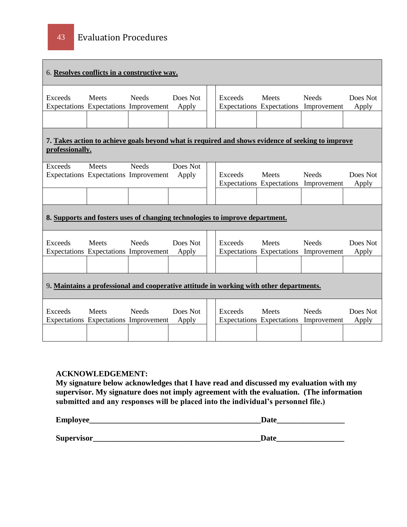|                                                                                         | 6. Resolves conflicts in a constructive way.          |              |                   |  |                                                                              |                                                  |                                                                                                   |                   |
|-----------------------------------------------------------------------------------------|-------------------------------------------------------|--------------|-------------------|--|------------------------------------------------------------------------------|--------------------------------------------------|---------------------------------------------------------------------------------------------------|-------------------|
| Exceeds                                                                                 | <b>Meets</b><br>Expectations Expectations Improvement | <b>Needs</b> | Does Not<br>Apply |  | Exceeds                                                                      | <b>Meets</b><br><b>Expectations</b> Expectations | <b>Needs</b><br>Improvement                                                                       | Does Not<br>Apply |
| professionally.                                                                         |                                                       |              |                   |  |                                                                              |                                                  | 7. Takes action to achieve goals beyond what is required and shows evidence of seeking to improve |                   |
| Exceeds                                                                                 | <b>Meets</b><br>Expectations Expectations Improvement | <b>Needs</b> | Does Not<br>Apply |  | Exceeds                                                                      | <b>Meets</b><br>Expectations Expectations        | <b>Needs</b><br>Improvement                                                                       | Does Not<br>Apply |
|                                                                                         |                                                       |              |                   |  | 8. Supports and fosters uses of changing technologies to improve department. |                                                  |                                                                                                   |                   |
| Exceeds                                                                                 | Meets<br>Expectations Expectations Improvement        | <b>Needs</b> | Does Not<br>Apply |  | Exceeds                                                                      | <b>Meets</b>                                     | <b>Needs</b><br>Expectations Expectations Improvement                                             | Does Not<br>Apply |
| 9. Maintains a professional and cooperative attitude in working with other departments. |                                                       |              |                   |  |                                                                              |                                                  |                                                                                                   |                   |
| Exceeds                                                                                 | Meets<br>Expectations Expectations Improvement        | <b>Needs</b> | Does Not<br>Apply |  | Exceeds                                                                      | Meets<br>Expectations Expectations               | <b>Needs</b><br>Improvement                                                                       | Does Not<br>Apply |

#### **ACKNOWLEDGEMENT:**

**My signature below acknowledges that I have read and discussed my evaluation with my supervisor. My signature does not imply agreement with the evaluation. (The information submitted and any responses will be placed into the individual's personnel file.)**

| Employee_  | Date |  |  |  |  |
|------------|------|--|--|--|--|
|            |      |  |  |  |  |
| Supervisor | Date |  |  |  |  |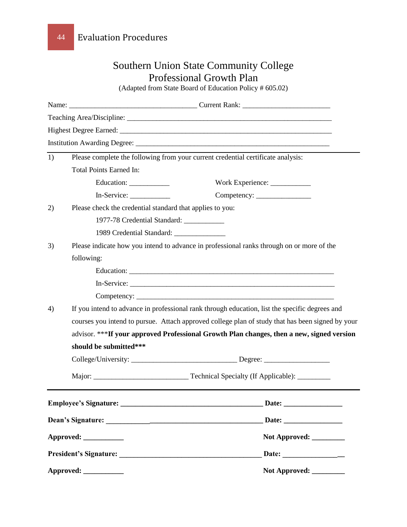| <b>Southern Union State Community College</b> |                                                                                                  |                                                         |  |  |
|-----------------------------------------------|--------------------------------------------------------------------------------------------------|---------------------------------------------------------|--|--|
|                                               | <b>Professional Growth Plan</b>                                                                  |                                                         |  |  |
|                                               |                                                                                                  | (Adapted from State Board of Education Policy # 605.02) |  |  |
|                                               |                                                                                                  |                                                         |  |  |
|                                               |                                                                                                  |                                                         |  |  |
|                                               |                                                                                                  |                                                         |  |  |
|                                               |                                                                                                  |                                                         |  |  |
| 1)                                            | Please complete the following from your current credential certificate analysis:                 |                                                         |  |  |
|                                               | <b>Total Points Earned In:</b>                                                                   |                                                         |  |  |
|                                               |                                                                                                  | Work Experience: _____________                          |  |  |
|                                               | In-Service:                                                                                      |                                                         |  |  |
| 2)                                            | Please check the credential standard that applies to you:                                        |                                                         |  |  |
|                                               | 1977-78 Credential Standard: ___________                                                         |                                                         |  |  |
|                                               | 1989 Credential Standard: ________________                                                       |                                                         |  |  |
| 3)                                            | Please indicate how you intend to advance in professional ranks through on or more of the        |                                                         |  |  |
|                                               | following:                                                                                       |                                                         |  |  |
|                                               |                                                                                                  |                                                         |  |  |
|                                               |                                                                                                  |                                                         |  |  |
|                                               |                                                                                                  |                                                         |  |  |
| 4)                                            | If you intend to advance in professional rank through education, list the specific degrees and   |                                                         |  |  |
|                                               | courses you intend to pursue. Attach approved college plan of study that has been signed by your |                                                         |  |  |
|                                               | advisor. *** If your approved Professional Growth Plan changes, then a new, signed version       |                                                         |  |  |
|                                               | should be submitted***                                                                           |                                                         |  |  |
|                                               | College/University:                                                                              | ______ Degree: _____                                    |  |  |
|                                               |                                                                                                  |                                                         |  |  |
|                                               |                                                                                                  |                                                         |  |  |
| Approved:                                     |                                                                                                  |                                                         |  |  |
|                                               |                                                                                                  | Not Approved: _________                                 |  |  |
|                                               |                                                                                                  | Date: __________________                                |  |  |
|                                               |                                                                                                  | Not Approved: _________                                 |  |  |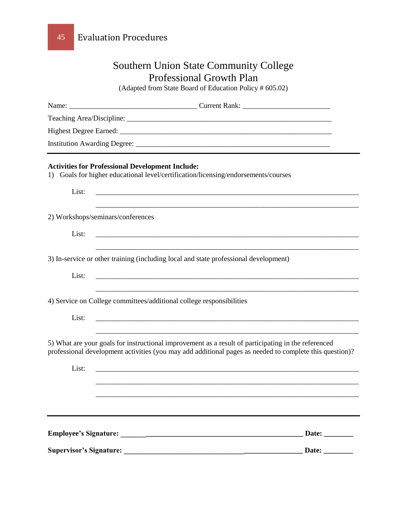| <b>Southern Union State Community College</b><br><b>Professional Growth Plan</b> |                                                                                                                                                                                                                |  |              |  |  |
|----------------------------------------------------------------------------------|----------------------------------------------------------------------------------------------------------------------------------------------------------------------------------------------------------------|--|--------------|--|--|
|                                                                                  |                                                                                                                                                                                                                |  |              |  |  |
|                                                                                  |                                                                                                                                                                                                                |  |              |  |  |
|                                                                                  |                                                                                                                                                                                                                |  |              |  |  |
|                                                                                  |                                                                                                                                                                                                                |  |              |  |  |
|                                                                                  |                                                                                                                                                                                                                |  |              |  |  |
|                                                                                  | <b>Activities for Professional Development Include:</b><br>1) Goals for higher educational level/certification/licensing/endorsements/courses                                                                  |  |              |  |  |
| List:                                                                            | <u> 1989 - Johann Barn, mars and deutscher Stadt and deutscher Stadt and deutscher Stadt and deutscher Stadt and</u>                                                                                           |  |              |  |  |
| 2) Workshops/seminars/conferences                                                |                                                                                                                                                                                                                |  |              |  |  |
| List:                                                                            | <u> 1989 - Johann Stoff, deutscher Stoff, der Stoff, der Stoff, der Stoff, der Stoff, der Stoff, der Stoff, der S</u>                                                                                          |  |              |  |  |
|                                                                                  | 3) In-service or other training (including local and state professional development)                                                                                                                           |  |              |  |  |
| List:                                                                            |                                                                                                                                                                                                                |  |              |  |  |
|                                                                                  | 4) Service on College committees/additional college responsibilities                                                                                                                                           |  |              |  |  |
| List:                                                                            |                                                                                                                                                                                                                |  |              |  |  |
|                                                                                  | 5) What are your goals for instructional improvement as a result of participating in the referenced<br>professional development activities (you may add additional pages as needed to complete this question)? |  |              |  |  |
| List:                                                                            |                                                                                                                                                                                                                |  |              |  |  |
|                                                                                  |                                                                                                                                                                                                                |  |              |  |  |
|                                                                                  |                                                                                                                                                                                                                |  |              |  |  |
|                                                                                  |                                                                                                                                                                                                                |  | Date: $\_\_$ |  |  |
|                                                                                  |                                                                                                                                                                                                                |  | Date: $\_\_$ |  |  |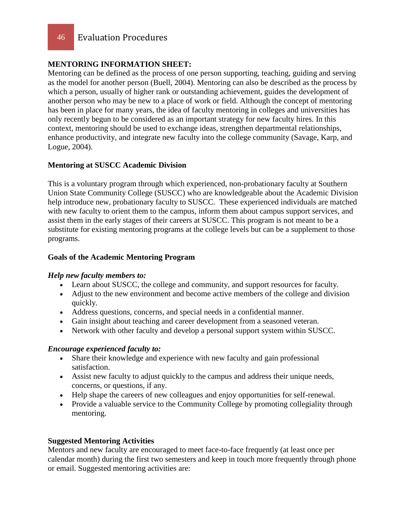46 Evaluation Procedures

#### **MENTORING INFORMATION SHEET:**

Mentoring can be defined as the process of one person supporting, teaching, guiding and serving as the model for another person (Buell, 2004). Mentoring can also be described as the process by which a person, usually of higher rank or outstanding achievement, guides the development of another person who may be new to a place of work or field. Although the concept of mentoring has been in place for many years, the idea of faculty mentoring in colleges and universities has only recently begun to be considered as an important strategy for new faculty hires. In this context, mentoring should be used to exchange ideas, strengthen departmental relationships, enhance productivity, and integrate new faculty into the college community (Savage, Karp, and Logue, 2004).

#### **Mentoring at SUSCC Academic Division**

This is a voluntary program through which experienced, non-probationary faculty at Southern Union State Community College (SUSCC) who are knowledgeable about the Academic Division help introduce new, probationary faculty to SUSCC. These experienced individuals are matched with new faculty to orient them to the campus, inform them about campus support services, and assist them in the early stages of their careers at SUSCC. This program is not meant to be a substitute for existing mentoring programs at the college levels but can be a supplement to those programs.

#### **Goals of the Academic Mentoring Program**

#### *Help new faculty members to:*

- Learn about SUSCC, the college and community, and support resources for faculty.
- Adjust to the new environment and become active members of the college and division quickly.
- Address questions, concerns, and special needs in a confidential manner.
- Gain insight about teaching and career development from a seasoned veteran.
- Network with other faculty and develop a personal support system within SUSCC.

#### *Encourage experienced faculty to:*

- Share their knowledge and experience with new faculty and gain professional satisfaction.
- Assist new faculty to adjust quickly to the campus and address their unique needs, concerns, or questions, if any.
- Help shape the careers of new colleagues and enjoy opportunities for self-renewal.
- Provide a valuable service to the Community College by promoting collegiality through mentoring.

#### **Suggested Mentoring Activities**

Mentors and new faculty are encouraged to meet face-to-face frequently (at least once per calendar month) during the first two semesters and keep in touch more frequently through phone or email. Suggested mentoring activities are: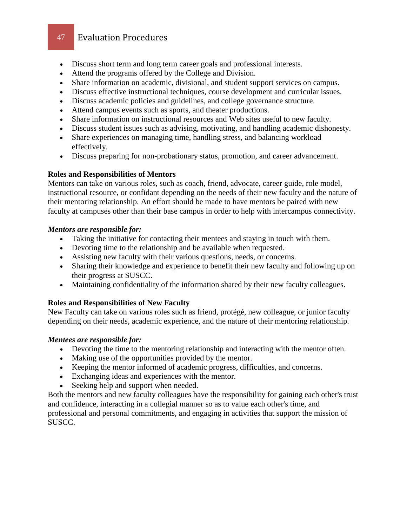- Discuss short term and long term career goals and professional interests.
- Attend the programs offered by the College and Division.
- Share information on academic, divisional, and student support services on campus.
- Discuss effective instructional techniques, course development and curricular issues.
- Discuss academic policies and guidelines, and college governance structure.
- Attend campus events such as sports, and theater productions.
- Share information on instructional resources and Web sites useful to new faculty.
- Discuss student issues such as advising, motivating, and handling academic dishonesty.
- Share experiences on managing time, handling stress, and balancing workload effectively.
- Discuss preparing for non-probationary status, promotion, and career advancement.

#### **Roles and Responsibilities of Mentors**

Mentors can take on various roles, such as coach, friend, advocate, career guide, role model, instructional resource, or confidant depending on the needs of their new faculty and the nature of their mentoring relationship. An effort should be made to have mentors be paired with new faculty at campuses other than their base campus in order to help with intercampus connectivity.

#### *Mentors are responsible for:*

- Taking the initiative for contacting their mentees and staying in touch with them.
- Devoting time to the relationship and be available when requested.
- Assisting new faculty with their various questions, needs, or concerns.
- Sharing their knowledge and experience to benefit their new faculty and following up on their progress at SUSCC.
- Maintaining confidentiality of the information shared by their new faculty colleagues.

#### **Roles and Responsibilities of New Faculty**

New Faculty can take on various roles such as friend, protégé, new colleague, or junior faculty depending on their needs, academic experience, and the nature of their mentoring relationship.

#### *Mentees are responsible for:*

- Devoting the time to the mentoring relationship and interacting with the mentor often.
- Making use of the opportunities provided by the mentor.
- Keeping the mentor informed of academic progress, difficulties, and concerns.
- Exchanging ideas and experiences with the mentor.
- Seeking help and support when needed.

Both the mentors and new faculty colleagues have the responsibility for gaining each other's trust and confidence, interacting in a collegial manner so as to value each other's time, and professional and personal commitments, and engaging in activities that support the mission of SUSCC.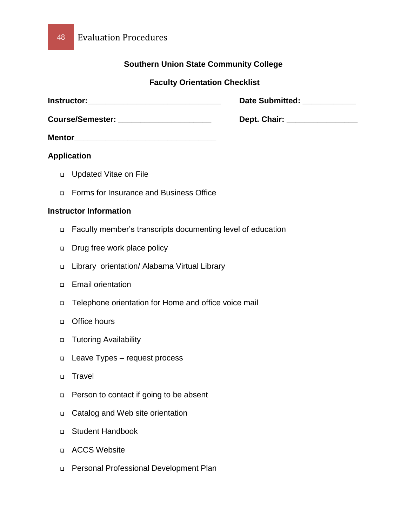#### **Southern Union State Community College**

#### **Faculty Orientation Checklist**

| <b>Instructor:</b>      | <b>Date Submitted:</b> |
|-------------------------|------------------------|
| <b>Course/Semester:</b> | Dept. Chair:           |

**Mentor\_\_\_\_\_\_\_\_\_\_\_\_\_\_\_\_\_\_\_\_\_\_\_\_\_\_\_\_\_\_\_\_**

#### **Application**

- Updated Vitae on File
- Forms for Insurance and Business Office

#### **Instructor Information**

- Faculty member's transcripts documenting level of education
- Drug free work place policy
- Library orientation/ Alabama Virtual Library
- Email orientation
- Telephone orientation for Home and office voice mail
- o Office hours
- □ Tutoring Availability
- □ Leave Types request process
- □ Travel
- □ Person to contact if going to be absent
- □ Catalog and Web site orientation
- □ Student Handbook
- ACCS Website
- Personal Professional Development Plan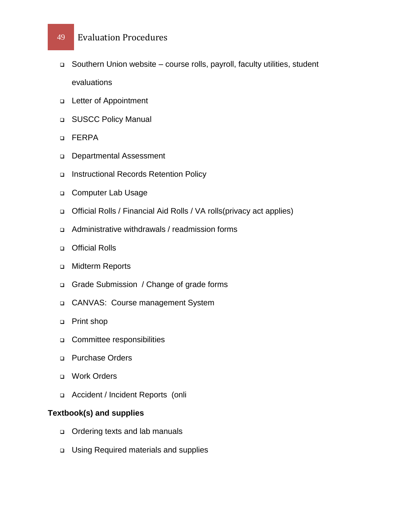- Southern Union website course rolls, payroll, faculty utilities, student evaluations
- Letter of Appointment
- **BUSCC Policy Manual**
- FERPA
- Departmental Assessment
- □ Instructional Records Retention Policy
- Computer Lab Usage
- Official Rolls / Financial Aid Rolls / VA rolls(privacy act applies)
- Administrative withdrawals / readmission forms
- o Official Rolls
- **D** Midterm Reports
- Grade Submission / Change of grade forms
- CANVAS: Course management System
- □ Print shop
- **Committee responsibilities**
- Purchase Orders
- Work Orders
- Accident / Incident Reports (onli

#### **Textbook(s) and supplies**

- o Ordering texts and lab manuals
- Using Required materials and supplies